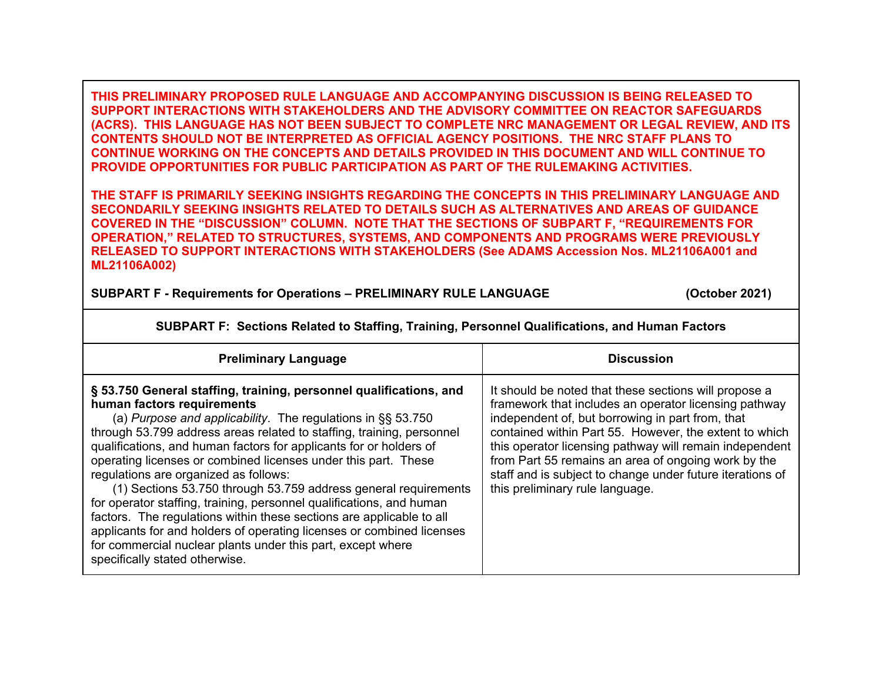**THIS PRELIMINARY PROPOSED RULE LANGUAGE AND ACCOMPANYING DISCUSSION IS BEING RELEASED TO SUPPORT INTERACTIONS WITH STAKEHOLDERS AND THE ADVISORY COMMITTEE ON REACTOR SAFEGUARDS (ACRS). THIS LANGUAGE HAS NOT BEEN SUBJECT TO COMPLETE NRC MANAGEMENT OR LEGAL REVIEW, AND ITS CONTENTS SHOULD NOT BE INTERPRETED AS OFFICIAL AGENCY POSITIONS. THE NRC STAFF PLANS TO CONTINUE WORKING ON THE CONCEPTS AND DETAILS PROVIDED IN THIS DOCUMENT AND WILL CONTINUE TO PROVIDE OPPORTUNITIES FOR PUBLIC PARTICIPATION AS PART OF THE RULEMAKING ACTIVITIES.** 

**THE STAFF IS PRIMARILY SEEKING INSIGHTS REGARDING THE CONCEPTS IN THIS PRELIMINARY LANGUAGE AND SECONDARILY SEEKING INSIGHTS RELATED TO DETAILS SUCH AS ALTERNATIVES AND AREAS OF GUIDANCE COVERED IN THE "DISCUSSION" COLUMN. NOTE THAT THE SECTIONS OF SUBPART F, "REQUIREMENTS FOR OPERATION," RELATED TO STRUCTURES, SYSTEMS, AND COMPONENTS AND PROGRAMS WERE PREVIOUSLY RELEASED TO SUPPORT INTERACTIONS WITH STAKEHOLDERS (See ADAMS Accession Nos. ML21106A001 and ML21106A002)** 

**SUBPART F - Requirements for Operations – PRELIMINARY RULE LANGUAGE (October 2021)**

| <b>Preliminary Language</b>                                                                                                                                                                                                                                                                                                                                                                                                                                                                                                                                                                                                                                                                                                                                                                                                | <b>Discussion</b>                                                                                                                                                                                                                                                                                                                                                                                                                              |
|----------------------------------------------------------------------------------------------------------------------------------------------------------------------------------------------------------------------------------------------------------------------------------------------------------------------------------------------------------------------------------------------------------------------------------------------------------------------------------------------------------------------------------------------------------------------------------------------------------------------------------------------------------------------------------------------------------------------------------------------------------------------------------------------------------------------------|------------------------------------------------------------------------------------------------------------------------------------------------------------------------------------------------------------------------------------------------------------------------------------------------------------------------------------------------------------------------------------------------------------------------------------------------|
| § 53.750 General staffing, training, personnel qualifications, and<br>human factors requirements<br>(a) Purpose and applicability. The regulations in $\S$ § 53.750<br>through 53.799 address areas related to staffing, training, personnel<br>qualifications, and human factors for applicants for or holders of<br>operating licenses or combined licenses under this part. These<br>regulations are organized as follows:<br>(1) Sections 53.750 through 53.759 address general requirements<br>for operator staffing, training, personnel qualifications, and human<br>factors. The regulations within these sections are applicable to all<br>applicants for and holders of operating licenses or combined licenses<br>for commercial nuclear plants under this part, except where<br>specifically stated otherwise. | It should be noted that these sections will propose a<br>framework that includes an operator licensing pathway<br>independent of, but borrowing in part from, that<br>contained within Part 55. However, the extent to which<br>this operator licensing pathway will remain independent<br>from Part 55 remains an area of ongoing work by the<br>staff and is subject to change under future iterations of<br>this preliminary rule language. |

**SUBPART F: Sections Related to Staffing, Training, Personnel Qualifications, and Human Factors**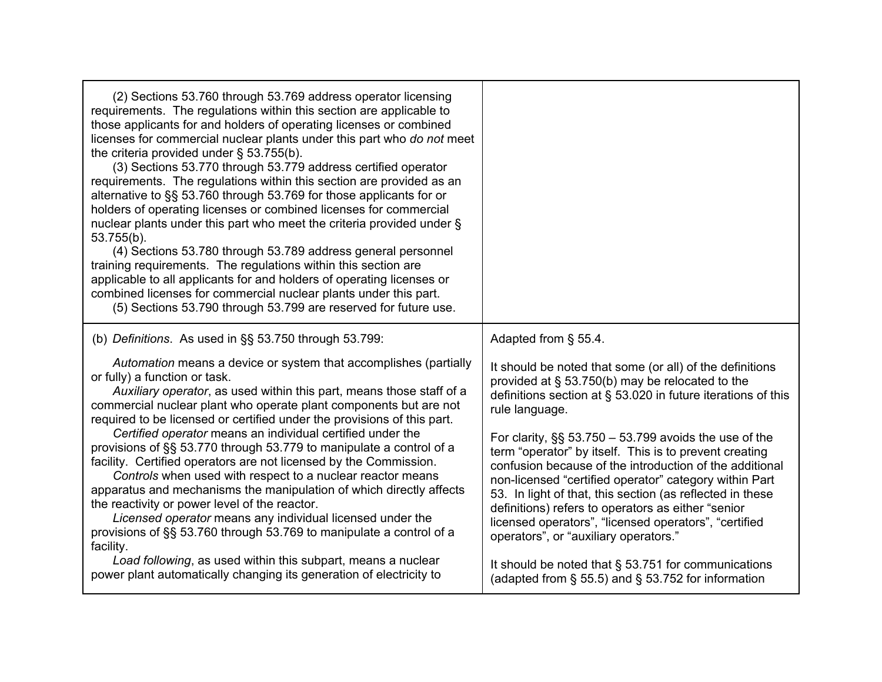| (2) Sections 53.760 through 53.769 address operator licensing<br>requirements. The regulations within this section are applicable to<br>those applicants for and holders of operating licenses or combined<br>licenses for commercial nuclear plants under this part who do not meet<br>the criteria provided under $\S$ 53.755(b).<br>(3) Sections 53.770 through 53.779 address certified operator<br>requirements. The regulations within this section are provided as an<br>alternative to §§ 53.760 through 53.769 for those applicants for or<br>holders of operating licenses or combined licenses for commercial<br>nuclear plants under this part who meet the criteria provided under §<br>53.755(b).<br>(4) Sections 53.780 through 53.789 address general personnel<br>training requirements. The regulations within this section are<br>applicable to all applicants for and holders of operating licenses or<br>combined licenses for commercial nuclear plants under this part.<br>(5) Sections 53.790 through 53.799 are reserved for future use. |                                                                                                                                                                                                                                                                                                                                                                                                                                                                                                                                                                                                                                                                    |
|-------------------------------------------------------------------------------------------------------------------------------------------------------------------------------------------------------------------------------------------------------------------------------------------------------------------------------------------------------------------------------------------------------------------------------------------------------------------------------------------------------------------------------------------------------------------------------------------------------------------------------------------------------------------------------------------------------------------------------------------------------------------------------------------------------------------------------------------------------------------------------------------------------------------------------------------------------------------------------------------------------------------------------------------------------------------|--------------------------------------------------------------------------------------------------------------------------------------------------------------------------------------------------------------------------------------------------------------------------------------------------------------------------------------------------------------------------------------------------------------------------------------------------------------------------------------------------------------------------------------------------------------------------------------------------------------------------------------------------------------------|
| (b) Definitions. As used in §§ 53.750 through 53.799:                                                                                                                                                                                                                                                                                                                                                                                                                                                                                                                                                                                                                                                                                                                                                                                                                                                                                                                                                                                                             | Adapted from § 55.4.                                                                                                                                                                                                                                                                                                                                                                                                                                                                                                                                                                                                                                               |
| Automation means a device or system that accomplishes (partially<br>or fully) a function or task.<br>Auxiliary operator, as used within this part, means those staff of a<br>commercial nuclear plant who operate plant components but are not<br>required to be licensed or certified under the provisions of this part.<br>Certified operator means an individual certified under the<br>provisions of §§ 53.770 through 53.779 to manipulate a control of a<br>facility. Certified operators are not licensed by the Commission.<br>Controls when used with respect to a nuclear reactor means<br>apparatus and mechanisms the manipulation of which directly affects<br>the reactivity or power level of the reactor.<br>Licensed operator means any individual licensed under the<br>provisions of §§ 53.760 through 53.769 to manipulate a control of a<br>facility.                                                                                                                                                                                        | It should be noted that some (or all) of the definitions<br>provided at $\S$ 53.750(b) may be relocated to the<br>definitions section at $\S$ 53.020 in future iterations of this<br>rule language.<br>For clarity, $\S$ 53.750 – 53.799 avoids the use of the<br>term "operator" by itself. This is to prevent creating<br>confusion because of the introduction of the additional<br>non-licensed "certified operator" category within Part<br>53. In light of that, this section (as reflected in these<br>definitions) refers to operators as either "senior<br>licensed operators", "licensed operators", "certified<br>operators", or "auxiliary operators." |
| Load following, as used within this subpart, means a nuclear<br>power plant automatically changing its generation of electricity to                                                                                                                                                                                                                                                                                                                                                                                                                                                                                                                                                                                                                                                                                                                                                                                                                                                                                                                               | It should be noted that § 53.751 for communications<br>(adapted from $\S$ 55.5) and $\S$ 53.752 for information                                                                                                                                                                                                                                                                                                                                                                                                                                                                                                                                                    |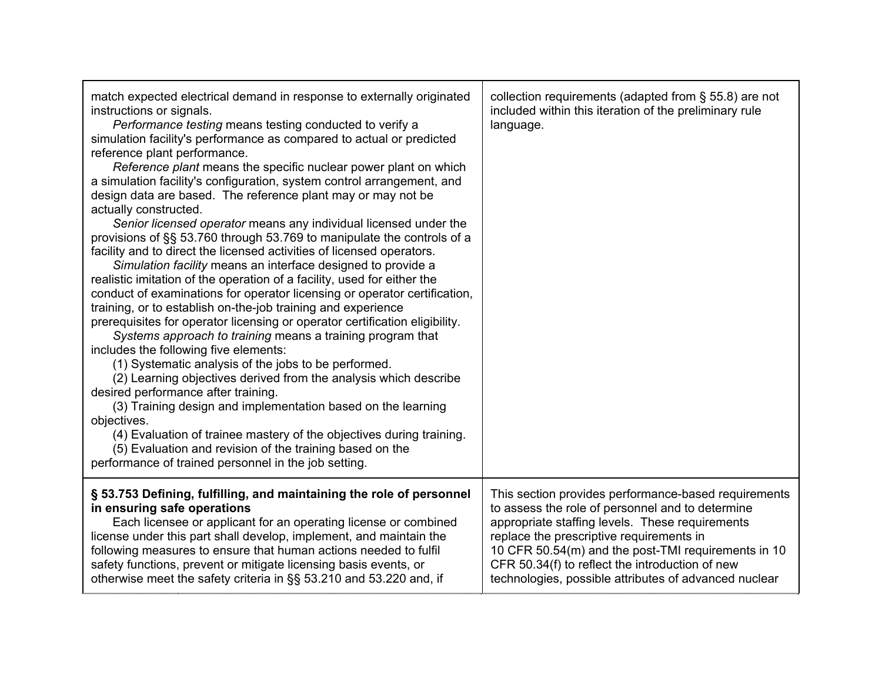| match expected electrical demand in response to externally originated<br>instructions or signals.<br>Performance testing means testing conducted to verify a<br>simulation facility's performance as compared to actual or predicted<br>reference plant performance.<br>Reference plant means the specific nuclear power plant on which<br>a simulation facility's configuration, system control arrangement, and<br>design data are based. The reference plant may or may not be<br>actually constructed.<br>Senior licensed operator means any individual licensed under the<br>provisions of §§ 53.760 through 53.769 to manipulate the controls of a<br>facility and to direct the licensed activities of licensed operators.<br>Simulation facility means an interface designed to provide a<br>realistic imitation of the operation of a facility, used for either the<br>conduct of examinations for operator licensing or operator certification,<br>training, or to establish on-the-job training and experience<br>prerequisites for operator licensing or operator certification eligibility.<br>Systems approach to training means a training program that<br>includes the following five elements:<br>(1) Systematic analysis of the jobs to be performed.<br>(2) Learning objectives derived from the analysis which describe<br>desired performance after training.<br>(3) Training design and implementation based on the learning<br>objectives.<br>(4) Evaluation of trainee mastery of the objectives during training.<br>(5) Evaluation and revision of the training based on the<br>performance of trained personnel in the job setting. | collection requirements (adapted from $\S$ 55.8) are not<br>included within this iteration of the preliminary rule<br>language. |
|---------------------------------------------------------------------------------------------------------------------------------------------------------------------------------------------------------------------------------------------------------------------------------------------------------------------------------------------------------------------------------------------------------------------------------------------------------------------------------------------------------------------------------------------------------------------------------------------------------------------------------------------------------------------------------------------------------------------------------------------------------------------------------------------------------------------------------------------------------------------------------------------------------------------------------------------------------------------------------------------------------------------------------------------------------------------------------------------------------------------------------------------------------------------------------------------------------------------------------------------------------------------------------------------------------------------------------------------------------------------------------------------------------------------------------------------------------------------------------------------------------------------------------------------------------------------------------------------------------------------------------------------------------------|---------------------------------------------------------------------------------------------------------------------------------|
| § 53.753 Defining, fulfilling, and maintaining the role of personnel                                                                                                                                                                                                                                                                                                                                                                                                                                                                                                                                                                                                                                                                                                                                                                                                                                                                                                                                                                                                                                                                                                                                                                                                                                                                                                                                                                                                                                                                                                                                                                                          | This section provides performance-based requirements                                                                            |
| in ensuring safe operations                                                                                                                                                                                                                                                                                                                                                                                                                                                                                                                                                                                                                                                                                                                                                                                                                                                                                                                                                                                                                                                                                                                                                                                                                                                                                                                                                                                                                                                                                                                                                                                                                                   | to assess the role of personnel and to determine                                                                                |
| Each licensee or applicant for an operating license or combined                                                                                                                                                                                                                                                                                                                                                                                                                                                                                                                                                                                                                                                                                                                                                                                                                                                                                                                                                                                                                                                                                                                                                                                                                                                                                                                                                                                                                                                                                                                                                                                               | appropriate staffing levels. These requirements                                                                                 |
| license under this part shall develop, implement, and maintain the                                                                                                                                                                                                                                                                                                                                                                                                                                                                                                                                                                                                                                                                                                                                                                                                                                                                                                                                                                                                                                                                                                                                                                                                                                                                                                                                                                                                                                                                                                                                                                                            | replace the prescriptive requirements in                                                                                        |
| following measures to ensure that human actions needed to fulfil                                                                                                                                                                                                                                                                                                                                                                                                                                                                                                                                                                                                                                                                                                                                                                                                                                                                                                                                                                                                                                                                                                                                                                                                                                                                                                                                                                                                                                                                                                                                                                                              | 10 CFR 50.54(m) and the post-TMI requirements in 10                                                                             |
| safety functions, prevent or mitigate licensing basis events, or                                                                                                                                                                                                                                                                                                                                                                                                                                                                                                                                                                                                                                                                                                                                                                                                                                                                                                                                                                                                                                                                                                                                                                                                                                                                                                                                                                                                                                                                                                                                                                                              | CFR 50.34(f) to reflect the introduction of new                                                                                 |
| otherwise meet the safety criteria in §§ 53.210 and 53.220 and, if                                                                                                                                                                                                                                                                                                                                                                                                                                                                                                                                                                                                                                                                                                                                                                                                                                                                                                                                                                                                                                                                                                                                                                                                                                                                                                                                                                                                                                                                                                                                                                                            | technologies, possible attributes of advanced nuclear                                                                           |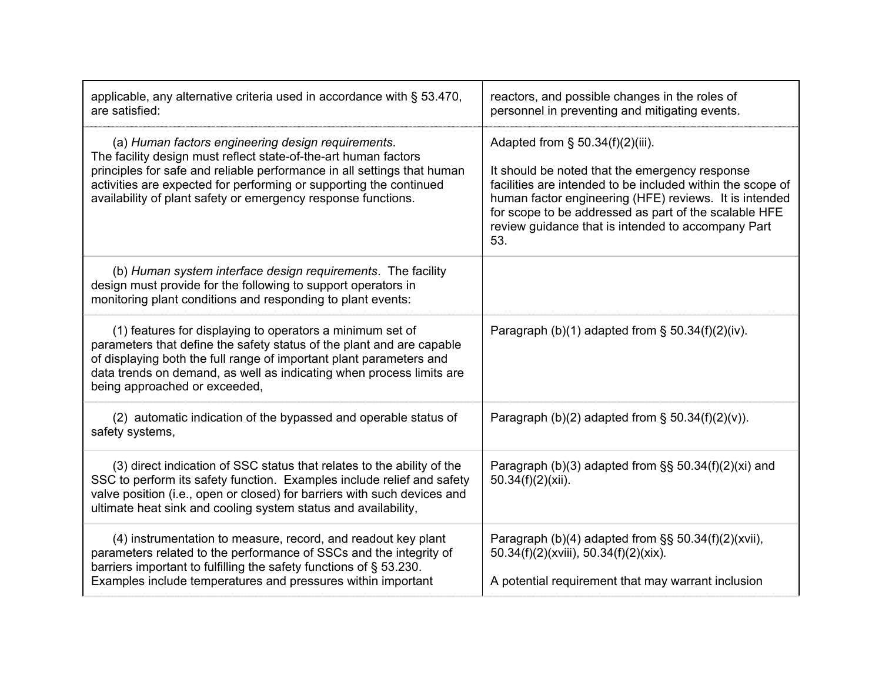| applicable, any alternative criteria used in accordance with § 53.470,<br>are satisfied:                                                                                                                                                                                                                                                | reactors, and possible changes in the roles of<br>personnel in preventing and mitigating events.                                                                                                                                                                                                                                    |
|-----------------------------------------------------------------------------------------------------------------------------------------------------------------------------------------------------------------------------------------------------------------------------------------------------------------------------------------|-------------------------------------------------------------------------------------------------------------------------------------------------------------------------------------------------------------------------------------------------------------------------------------------------------------------------------------|
| (a) Human factors engineering design requirements.<br>The facility design must reflect state-of-the-art human factors<br>principles for safe and reliable performance in all settings that human<br>activities are expected for performing or supporting the continued<br>availability of plant safety or emergency response functions. | Adapted from $\S$ 50.34(f)(2)(iii).<br>It should be noted that the emergency response<br>facilities are intended to be included within the scope of<br>human factor engineering (HFE) reviews. It is intended<br>for scope to be addressed as part of the scalable HFE<br>review guidance that is intended to accompany Part<br>53. |
| (b) Human system interface design requirements. The facility<br>design must provide for the following to support operators in<br>monitoring plant conditions and responding to plant events:                                                                                                                                            |                                                                                                                                                                                                                                                                                                                                     |
| (1) features for displaying to operators a minimum set of<br>parameters that define the safety status of the plant and are capable<br>of displaying both the full range of important plant parameters and<br>data trends on demand, as well as indicating when process limits are<br>being approached or exceeded,                      | Paragraph (b)(1) adapted from $\S$ 50.34(f)(2)(iv).                                                                                                                                                                                                                                                                                 |
| (2) automatic indication of the bypassed and operable status of<br>safety systems,                                                                                                                                                                                                                                                      | Paragraph (b)(2) adapted from $\S$ 50.34(f)(2)(v)).                                                                                                                                                                                                                                                                                 |
| (3) direct indication of SSC status that relates to the ability of the<br>SSC to perform its safety function. Examples include relief and safety<br>valve position (i.e., open or closed) for barriers with such devices and<br>ultimate heat sink and cooling system status and availability,                                          | Paragraph (b)(3) adapted from $\S$ § 50.34(f)(2)(xi) and<br>$50.34(f)(2)(xii)$ .                                                                                                                                                                                                                                                    |
| (4) instrumentation to measure, record, and readout key plant<br>parameters related to the performance of SSCs and the integrity of<br>barriers important to fulfilling the safety functions of § 53.230.<br>Examples include temperatures and pressures within important                                                               | Paragraph (b)(4) adapted from $\S$ § 50.34(f)(2)(xvii),<br>50.34(f)(2)(xviii), 50.34(f)(2)(xix).<br>A potential requirement that may warrant inclusion                                                                                                                                                                              |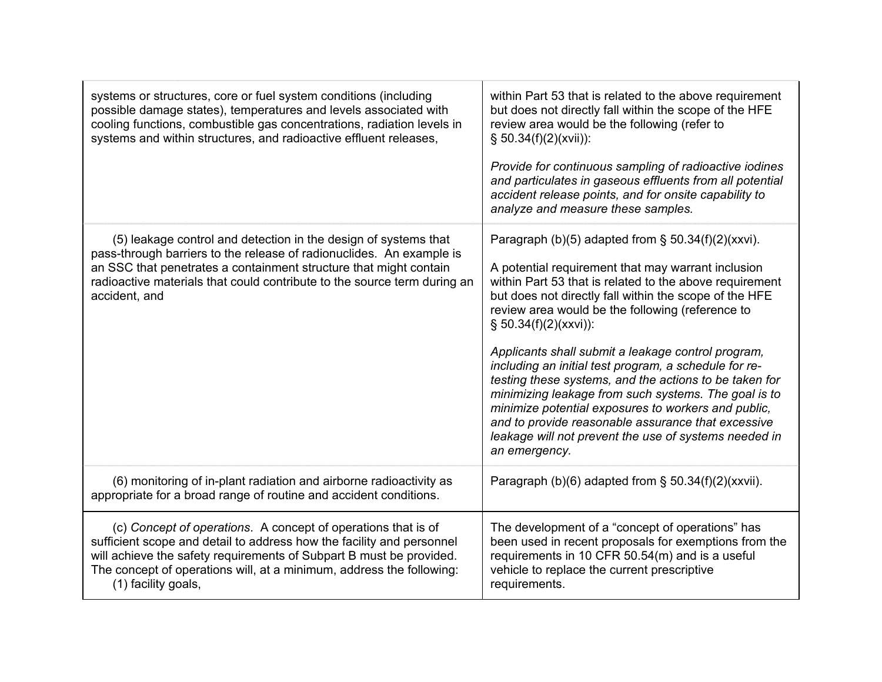| systems or structures, core or fuel system conditions (including<br>possible damage states), temperatures and levels associated with<br>cooling functions, combustible gas concentrations, radiation levels in<br>systems and within structures, and radioactive effluent releases,                          | within Part 53 that is related to the above requirement<br>but does not directly fall within the scope of the HFE<br>review area would be the following (refer to<br>$§ 50.34(f)(2)(xvi))$ :                                                                                                                                                                                                                         |
|--------------------------------------------------------------------------------------------------------------------------------------------------------------------------------------------------------------------------------------------------------------------------------------------------------------|----------------------------------------------------------------------------------------------------------------------------------------------------------------------------------------------------------------------------------------------------------------------------------------------------------------------------------------------------------------------------------------------------------------------|
|                                                                                                                                                                                                                                                                                                              | Provide for continuous sampling of radioactive iodines<br>and particulates in gaseous effluents from all potential<br>accident release points, and for onsite capability to<br>analyze and measure these samples.                                                                                                                                                                                                    |
| (5) leakage control and detection in the design of systems that                                                                                                                                                                                                                                              | Paragraph (b)(5) adapted from § 50.34(f)(2)(xxvi).                                                                                                                                                                                                                                                                                                                                                                   |
| pass-through barriers to the release of radionuclides. An example is<br>an SSC that penetrates a containment structure that might contain<br>radioactive materials that could contribute to the source term during an<br>accident, and                                                                       | A potential requirement that may warrant inclusion<br>within Part 53 that is related to the above requirement<br>but does not directly fall within the scope of the HFE<br>review area would be the following (reference to<br>$§ 50.34(f)(2)(xxx))$ :                                                                                                                                                               |
|                                                                                                                                                                                                                                                                                                              | Applicants shall submit a leakage control program,<br>including an initial test program, a schedule for re-<br>testing these systems, and the actions to be taken for<br>minimizing leakage from such systems. The goal is to<br>minimize potential exposures to workers and public,<br>and to provide reasonable assurance that excessive<br>leakage will not prevent the use of systems needed in<br>an emergency. |
| (6) monitoring of in-plant radiation and airborne radioactivity as<br>appropriate for a broad range of routine and accident conditions.                                                                                                                                                                      | Paragraph (b)(6) adapted from $\S$ 50.34(f)(2)(xxvii).                                                                                                                                                                                                                                                                                                                                                               |
| (c) Concept of operations. A concept of operations that is of<br>sufficient scope and detail to address how the facility and personnel<br>will achieve the safety requirements of Subpart B must be provided.<br>The concept of operations will, at a minimum, address the following:<br>(1) facility goals, | The development of a "concept of operations" has<br>been used in recent proposals for exemptions from the<br>requirements in 10 CFR 50.54(m) and is a useful<br>vehicle to replace the current prescriptive<br>requirements.                                                                                                                                                                                         |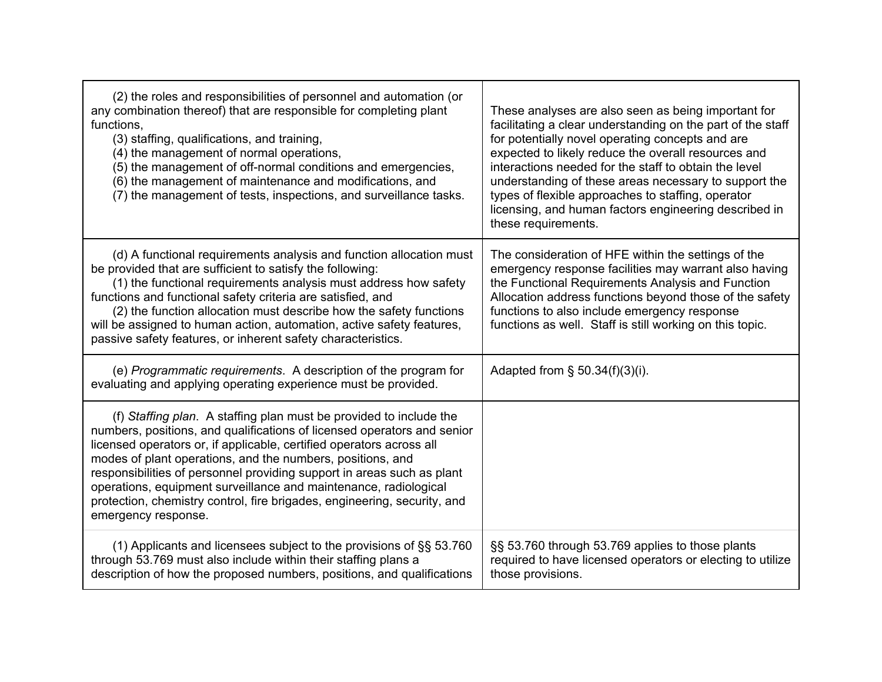| (2) the roles and responsibilities of personnel and automation (or<br>any combination thereof) that are responsible for completing plant<br>functions,<br>(3) staffing, qualifications, and training,<br>(4) the management of normal operations,<br>(5) the management of off-normal conditions and emergencies,<br>(6) the management of maintenance and modifications, and<br>(7) the management of tests, inspections, and surveillance tasks.                                                                                   | These analyses are also seen as being important for<br>facilitating a clear understanding on the part of the staff<br>for potentially novel operating concepts and are<br>expected to likely reduce the overall resources and<br>interactions needed for the staff to obtain the level<br>understanding of these areas necessary to support the<br>types of flexible approaches to staffing, operator<br>licensing, and human factors engineering described in<br>these requirements. |
|--------------------------------------------------------------------------------------------------------------------------------------------------------------------------------------------------------------------------------------------------------------------------------------------------------------------------------------------------------------------------------------------------------------------------------------------------------------------------------------------------------------------------------------|---------------------------------------------------------------------------------------------------------------------------------------------------------------------------------------------------------------------------------------------------------------------------------------------------------------------------------------------------------------------------------------------------------------------------------------------------------------------------------------|
| (d) A functional requirements analysis and function allocation must<br>be provided that are sufficient to satisfy the following:<br>(1) the functional requirements analysis must address how safety<br>functions and functional safety criteria are satisfied, and<br>(2) the function allocation must describe how the safety functions<br>will be assigned to human action, automation, active safety features,<br>passive safety features, or inherent safety characteristics.                                                   | The consideration of HFE within the settings of the<br>emergency response facilities may warrant also having<br>the Functional Requirements Analysis and Function<br>Allocation address functions beyond those of the safety<br>functions to also include emergency response<br>functions as well. Staff is still working on this topic.                                                                                                                                              |
| (e) Programmatic requirements. A description of the program for<br>evaluating and applying operating experience must be provided.                                                                                                                                                                                                                                                                                                                                                                                                    | Adapted from $\S$ 50.34(f)(3)(i).                                                                                                                                                                                                                                                                                                                                                                                                                                                     |
| (f) Staffing plan. A staffing plan must be provided to include the<br>numbers, positions, and qualifications of licensed operators and senior<br>licensed operators or, if applicable, certified operators across all<br>modes of plant operations, and the numbers, positions, and<br>responsibilities of personnel providing support in areas such as plant<br>operations, equipment surveillance and maintenance, radiological<br>protection, chemistry control, fire brigades, engineering, security, and<br>emergency response. |                                                                                                                                                                                                                                                                                                                                                                                                                                                                                       |
| (1) Applicants and licensees subject to the provisions of $\S$ § 53.760<br>through 53.769 must also include within their staffing plans a<br>description of how the proposed numbers, positions, and qualifications                                                                                                                                                                                                                                                                                                                  | §§ 53.760 through 53.769 applies to those plants<br>required to have licensed operators or electing to utilize<br>those provisions.                                                                                                                                                                                                                                                                                                                                                   |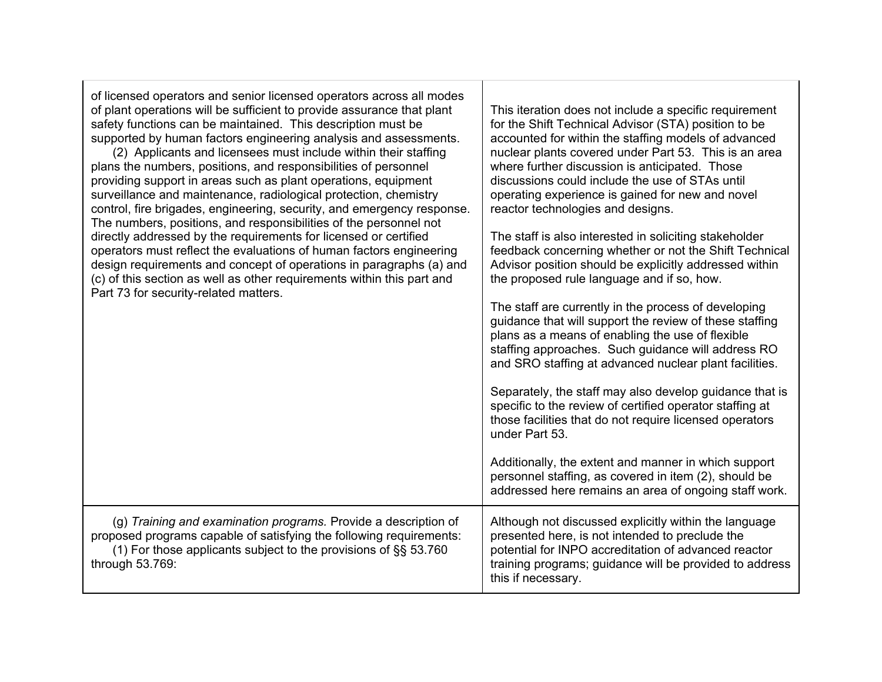| of licensed operators and senior licensed operators across all modes<br>of plant operations will be sufficient to provide assurance that plant<br>safety functions can be maintained. This description must be<br>supported by human factors engineering analysis and assessments.<br>(2) Applicants and licensees must include within their staffing<br>plans the numbers, positions, and responsibilities of personnel<br>providing support in areas such as plant operations, equipment<br>surveillance and maintenance, radiological protection, chemistry<br>control, fire brigades, engineering, security, and emergency response.<br>The numbers, positions, and responsibilities of the personnel not<br>directly addressed by the requirements for licensed or certified<br>operators must reflect the evaluations of human factors engineering<br>design requirements and concept of operations in paragraphs (a) and<br>(c) of this section as well as other requirements within this part and<br>Part 73 for security-related matters. | This iteration does not include a specific requirement<br>for the Shift Technical Advisor (STA) position to be<br>accounted for within the staffing models of advanced<br>nuclear plants covered under Part 53. This is an area<br>where further discussion is anticipated. Those<br>discussions could include the use of STAs until<br>operating experience is gained for new and novel<br>reactor technologies and designs.<br>The staff is also interested in soliciting stakeholder<br>feedback concerning whether or not the Shift Technical<br>Advisor position should be explicitly addressed within<br>the proposed rule language and if so, how.<br>The staff are currently in the process of developing<br>guidance that will support the review of these staffing<br>plans as a means of enabling the use of flexible<br>staffing approaches. Such guidance will address RO<br>and SRO staffing at advanced nuclear plant facilities.<br>Separately, the staff may also develop guidance that is<br>specific to the review of certified operator staffing at<br>those facilities that do not require licensed operators<br>under Part 53.<br>Additionally, the extent and manner in which support<br>personnel staffing, as covered in item (2), should be<br>addressed here remains an area of ongoing staff work. |
|----------------------------------------------------------------------------------------------------------------------------------------------------------------------------------------------------------------------------------------------------------------------------------------------------------------------------------------------------------------------------------------------------------------------------------------------------------------------------------------------------------------------------------------------------------------------------------------------------------------------------------------------------------------------------------------------------------------------------------------------------------------------------------------------------------------------------------------------------------------------------------------------------------------------------------------------------------------------------------------------------------------------------------------------------|--------------------------------------------------------------------------------------------------------------------------------------------------------------------------------------------------------------------------------------------------------------------------------------------------------------------------------------------------------------------------------------------------------------------------------------------------------------------------------------------------------------------------------------------------------------------------------------------------------------------------------------------------------------------------------------------------------------------------------------------------------------------------------------------------------------------------------------------------------------------------------------------------------------------------------------------------------------------------------------------------------------------------------------------------------------------------------------------------------------------------------------------------------------------------------------------------------------------------------------------------------------------------------------------------------------------------------|
| (g) Training and examination programs. Provide a description of<br>proposed programs capable of satisfying the following requirements:<br>(1) For those applicants subject to the provisions of §§ 53.760<br>through 53.769:                                                                                                                                                                                                                                                                                                                                                                                                                                                                                                                                                                                                                                                                                                                                                                                                                       | Although not discussed explicitly within the language<br>presented here, is not intended to preclude the<br>potential for INPO accreditation of advanced reactor<br>training programs; guidance will be provided to address<br>this if necessary.                                                                                                                                                                                                                                                                                                                                                                                                                                                                                                                                                                                                                                                                                                                                                                                                                                                                                                                                                                                                                                                                              |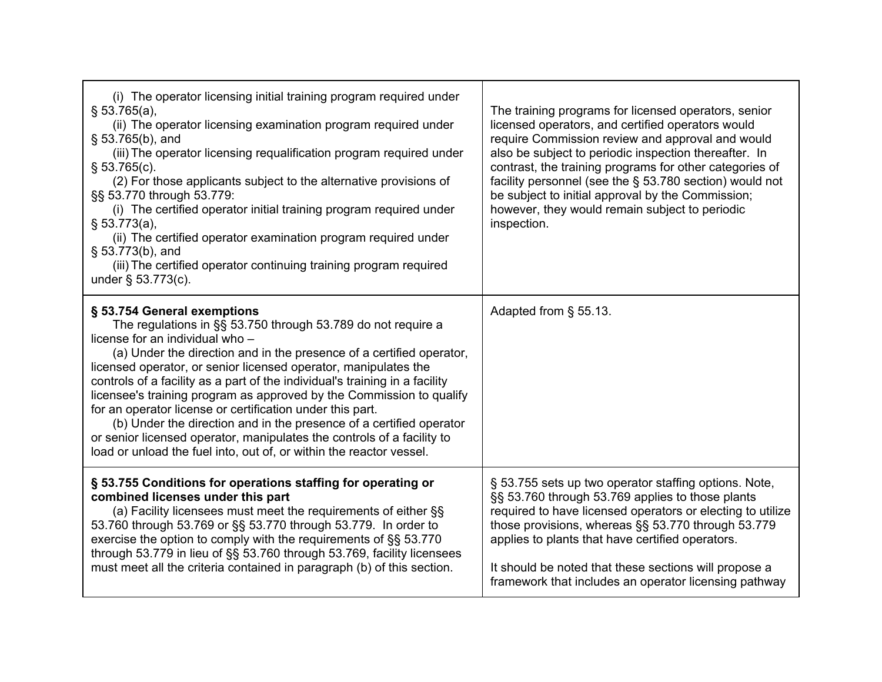| (i) The operator licensing initial training program required under<br>§ 53.765(a),<br>(ii) The operator licensing examination program required under<br>$\S$ 53.765(b), and<br>(iii) The operator licensing requalification program required under<br>$\S$ 53.765(c).<br>(2) For those applicants subject to the alternative provisions of<br>§§ 53.770 through 53.779:<br>(i) The certified operator initial training program required under<br>§ 53.773(a),<br>(ii) The certified operator examination program required under<br>§ 53.773(b), and<br>(iii) The certified operator continuing training program required<br>under $\S$ 53.773(c).                                                                     | The training programs for licensed operators, senior<br>licensed operators, and certified operators would<br>require Commission review and approval and would<br>also be subject to periodic inspection thereafter. In<br>contrast, the training programs for other categories of<br>facility personnel (see the $\S$ 53.780 section) would not<br>be subject to initial approval by the Commission;<br>however, they would remain subject to periodic<br>inspection. |
|-----------------------------------------------------------------------------------------------------------------------------------------------------------------------------------------------------------------------------------------------------------------------------------------------------------------------------------------------------------------------------------------------------------------------------------------------------------------------------------------------------------------------------------------------------------------------------------------------------------------------------------------------------------------------------------------------------------------------|-----------------------------------------------------------------------------------------------------------------------------------------------------------------------------------------------------------------------------------------------------------------------------------------------------------------------------------------------------------------------------------------------------------------------------------------------------------------------|
| § 53.754 General exemptions<br>The regulations in §§ 53.750 through 53.789 do not require a<br>license for an individual who -<br>(a) Under the direction and in the presence of a certified operator,<br>licensed operator, or senior licensed operator, manipulates the<br>controls of a facility as a part of the individual's training in a facility<br>licensee's training program as approved by the Commission to qualify<br>for an operator license or certification under this part.<br>(b) Under the direction and in the presence of a certified operator<br>or senior licensed operator, manipulates the controls of a facility to<br>load or unload the fuel into, out of, or within the reactor vessel. | Adapted from § 55.13.                                                                                                                                                                                                                                                                                                                                                                                                                                                 |
| § 53.755 Conditions for operations staffing for operating or<br>combined licenses under this part<br>(a) Facility licensees must meet the requirements of either §§<br>53.760 through 53.769 or §§ 53.770 through 53.779. In order to<br>exercise the option to comply with the requirements of §§ 53.770<br>through 53.779 in lieu of §§ 53.760 through 53.769, facility licensees<br>must meet all the criteria contained in paragraph (b) of this section.                                                                                                                                                                                                                                                         | § 53.755 sets up two operator staffing options. Note,<br>§§ 53.760 through 53.769 applies to those plants<br>required to have licensed operators or electing to utilize<br>those provisions, whereas §§ 53.770 through 53.779<br>applies to plants that have certified operators.<br>It should be noted that these sections will propose a<br>framework that includes an operator licensing pathway                                                                   |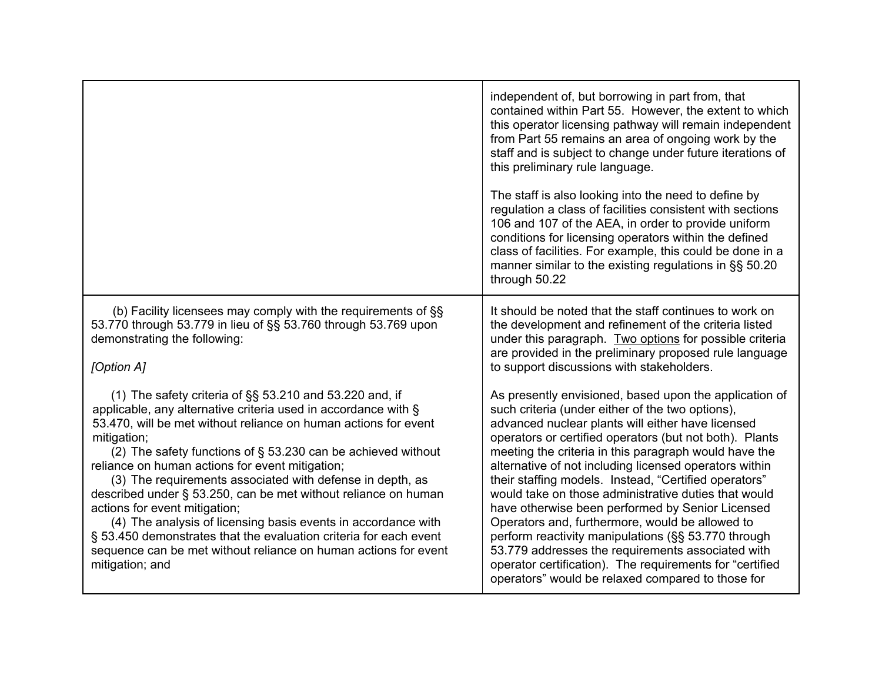|                                                                                                                                                                                                                                                                                                                                                                                                                                                                                                                                                                                                                                                                                                                                | independent of, but borrowing in part from, that<br>contained within Part 55. However, the extent to which<br>this operator licensing pathway will remain independent<br>from Part 55 remains an area of ongoing work by the<br>staff and is subject to change under future iterations of<br>this preliminary rule language.<br>The staff is also looking into the need to define by<br>regulation a class of facilities consistent with sections<br>106 and 107 of the AEA, in order to provide uniform<br>conditions for licensing operators within the defined<br>class of facilities. For example, this could be done in a<br>manner similar to the existing regulations in §§ 50.20<br>through 50.22                                                                                          |
|--------------------------------------------------------------------------------------------------------------------------------------------------------------------------------------------------------------------------------------------------------------------------------------------------------------------------------------------------------------------------------------------------------------------------------------------------------------------------------------------------------------------------------------------------------------------------------------------------------------------------------------------------------------------------------------------------------------------------------|----------------------------------------------------------------------------------------------------------------------------------------------------------------------------------------------------------------------------------------------------------------------------------------------------------------------------------------------------------------------------------------------------------------------------------------------------------------------------------------------------------------------------------------------------------------------------------------------------------------------------------------------------------------------------------------------------------------------------------------------------------------------------------------------------|
| (b) Facility licensees may comply with the requirements of §§<br>53.770 through 53.779 in lieu of §§ 53.760 through 53.769 upon<br>demonstrating the following:<br>[Option A]                                                                                                                                                                                                                                                                                                                                                                                                                                                                                                                                                  | It should be noted that the staff continues to work on<br>the development and refinement of the criteria listed<br>under this paragraph. Two options for possible criteria<br>are provided in the preliminary proposed rule language<br>to support discussions with stakeholders.                                                                                                                                                                                                                                                                                                                                                                                                                                                                                                                  |
| (1) The safety criteria of $\S$ § 53.210 and 53.220 and, if<br>applicable, any alternative criteria used in accordance with §<br>53.470, will be met without reliance on human actions for event<br>mitigation;<br>(2) The safety functions of § 53.230 can be achieved without<br>reliance on human actions for event mitigation;<br>(3) The requirements associated with defense in depth, as<br>described under § 53.250, can be met without reliance on human<br>actions for event mitigation;<br>(4) The analysis of licensing basis events in accordance with<br>§ 53.450 demonstrates that the evaluation criteria for each event<br>sequence can be met without reliance on human actions for event<br>mitigation; and | As presently envisioned, based upon the application of<br>such criteria (under either of the two options),<br>advanced nuclear plants will either have licensed<br>operators or certified operators (but not both). Plants<br>meeting the criteria in this paragraph would have the<br>alternative of not including licensed operators within<br>their staffing models. Instead, "Certified operators"<br>would take on those administrative duties that would<br>have otherwise been performed by Senior Licensed<br>Operators and, furthermore, would be allowed to<br>perform reactivity manipulations (§§ 53.770 through<br>53.779 addresses the requirements associated with<br>operator certification). The requirements for "certified<br>operators" would be relaxed compared to those for |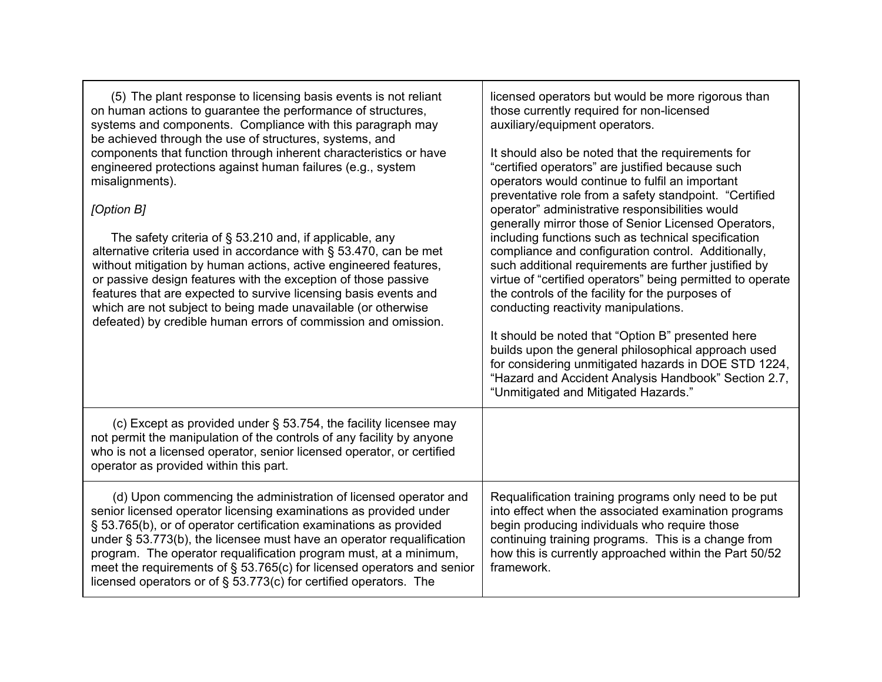| (5) The plant response to licensing basis events is not reliant<br>on human actions to guarantee the performance of structures,<br>systems and components. Compliance with this paragraph may<br>be achieved through the use of structures, systems, and<br>components that function through inherent characteristics or have<br>engineered protections against human failures (e.g., system<br>misalignments).<br>[Option B]<br>The safety criteria of $\S$ 53.210 and, if applicable, any<br>alternative criteria used in accordance with § 53.470, can be met<br>without mitigation by human actions, active engineered features,<br>or passive design features with the exception of those passive<br>features that are expected to survive licensing basis events and<br>which are not subject to being made unavailable (or otherwise<br>defeated) by credible human errors of commission and omission. | licensed operators but would be more rigorous than<br>those currently required for non-licensed<br>auxiliary/equipment operators.<br>It should also be noted that the requirements for<br>"certified operators" are justified because such<br>operators would continue to fulfil an important<br>preventative role from a safety standpoint. "Certified<br>operator" administrative responsibilities would<br>generally mirror those of Senior Licensed Operators,<br>including functions such as technical specification<br>compliance and configuration control. Additionally,<br>such additional requirements are further justified by<br>virtue of "certified operators" being permitted to operate<br>the controls of the facility for the purposes of<br>conducting reactivity manipulations.<br>It should be noted that "Option B" presented here<br>builds upon the general philosophical approach used<br>for considering unmitigated hazards in DOE STD 1224,<br>"Hazard and Accident Analysis Handbook" Section 2.7,<br>"Unmitigated and Mitigated Hazards." |
|---------------------------------------------------------------------------------------------------------------------------------------------------------------------------------------------------------------------------------------------------------------------------------------------------------------------------------------------------------------------------------------------------------------------------------------------------------------------------------------------------------------------------------------------------------------------------------------------------------------------------------------------------------------------------------------------------------------------------------------------------------------------------------------------------------------------------------------------------------------------------------------------------------------|-------------------------------------------------------------------------------------------------------------------------------------------------------------------------------------------------------------------------------------------------------------------------------------------------------------------------------------------------------------------------------------------------------------------------------------------------------------------------------------------------------------------------------------------------------------------------------------------------------------------------------------------------------------------------------------------------------------------------------------------------------------------------------------------------------------------------------------------------------------------------------------------------------------------------------------------------------------------------------------------------------------------------------------------------------------------------|
| (c) Except as provided under § 53.754, the facility licensee may<br>not permit the manipulation of the controls of any facility by anyone<br>who is not a licensed operator, senior licensed operator, or certified<br>operator as provided within this part.                                                                                                                                                                                                                                                                                                                                                                                                                                                                                                                                                                                                                                                 |                                                                                                                                                                                                                                                                                                                                                                                                                                                                                                                                                                                                                                                                                                                                                                                                                                                                                                                                                                                                                                                                         |
| (d) Upon commencing the administration of licensed operator and<br>senior licensed operator licensing examinations as provided under<br>§ 53.765(b), or of operator certification examinations as provided<br>under $\S$ 53.773(b), the licensee must have an operator requalification<br>program. The operator requalification program must, at a minimum,<br>meet the requirements of $\S$ 53.765(c) for licensed operators and senior<br>licensed operators or of $\S$ 53.773(c) for certified operators. The                                                                                                                                                                                                                                                                                                                                                                                              | Requalification training programs only need to be put<br>into effect when the associated examination programs<br>begin producing individuals who require those<br>continuing training programs. This is a change from<br>how this is currently approached within the Part 50/52<br>framework.                                                                                                                                                                                                                                                                                                                                                                                                                                                                                                                                                                                                                                                                                                                                                                           |

r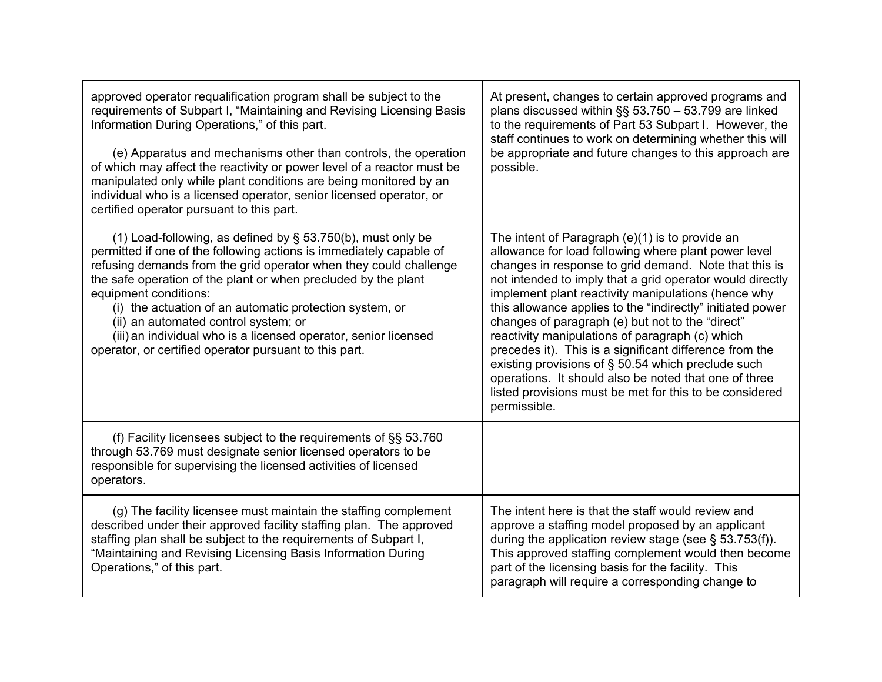| approved operator requalification program shall be subject to the<br>requirements of Subpart I, "Maintaining and Revising Licensing Basis<br>Information During Operations," of this part.<br>(e) Apparatus and mechanisms other than controls, the operation<br>of which may affect the reactivity or power level of a reactor must be<br>manipulated only while plant conditions are being monitored by an<br>individual who is a licensed operator, senior licensed operator, or<br>certified operator pursuant to this part.      | At present, changes to certain approved programs and<br>plans discussed within §§ 53.750 - 53.799 are linked<br>to the requirements of Part 53 Subpart I. However, the<br>staff continues to work on determining whether this will<br>be appropriate and future changes to this approach are<br>possible.                                                                                                                                                                                                                                                                                                                                                                                                        |
|---------------------------------------------------------------------------------------------------------------------------------------------------------------------------------------------------------------------------------------------------------------------------------------------------------------------------------------------------------------------------------------------------------------------------------------------------------------------------------------------------------------------------------------|------------------------------------------------------------------------------------------------------------------------------------------------------------------------------------------------------------------------------------------------------------------------------------------------------------------------------------------------------------------------------------------------------------------------------------------------------------------------------------------------------------------------------------------------------------------------------------------------------------------------------------------------------------------------------------------------------------------|
| (1) Load-following, as defined by $\S$ 53.750(b), must only be<br>permitted if one of the following actions is immediately capable of<br>refusing demands from the grid operator when they could challenge<br>the safe operation of the plant or when precluded by the plant<br>equipment conditions:<br>(i) the actuation of an automatic protection system, or<br>(ii) an automated control system; or<br>(iii) an individual who is a licensed operator, senior licensed<br>operator, or certified operator pursuant to this part. | The intent of Paragraph $(e)(1)$ is to provide an<br>allowance for load following where plant power level<br>changes in response to grid demand. Note that this is<br>not intended to imply that a grid operator would directly<br>implement plant reactivity manipulations (hence why<br>this allowance applies to the "indirectly" initiated power<br>changes of paragraph (e) but not to the "direct"<br>reactivity manipulations of paragraph (c) which<br>precedes it). This is a significant difference from the<br>existing provisions of § 50.54 which preclude such<br>operations. It should also be noted that one of three<br>listed provisions must be met for this to be considered<br>permissible. |
| (f) Facility licensees subject to the requirements of $\S$ § 53.760<br>through 53.769 must designate senior licensed operators to be<br>responsible for supervising the licensed activities of licensed<br>operators.                                                                                                                                                                                                                                                                                                                 |                                                                                                                                                                                                                                                                                                                                                                                                                                                                                                                                                                                                                                                                                                                  |
| (g) The facility licensee must maintain the staffing complement<br>described under their approved facility staffing plan. The approved<br>staffing plan shall be subject to the requirements of Subpart I,<br>"Maintaining and Revising Licensing Basis Information During<br>Operations," of this part.                                                                                                                                                                                                                              | The intent here is that the staff would review and<br>approve a staffing model proposed by an applicant<br>during the application review stage (see $\S$ 53.753(f)).<br>This approved staffing complement would then become<br>part of the licensing basis for the facility. This<br>paragraph will require a corresponding change to                                                                                                                                                                                                                                                                                                                                                                            |

Г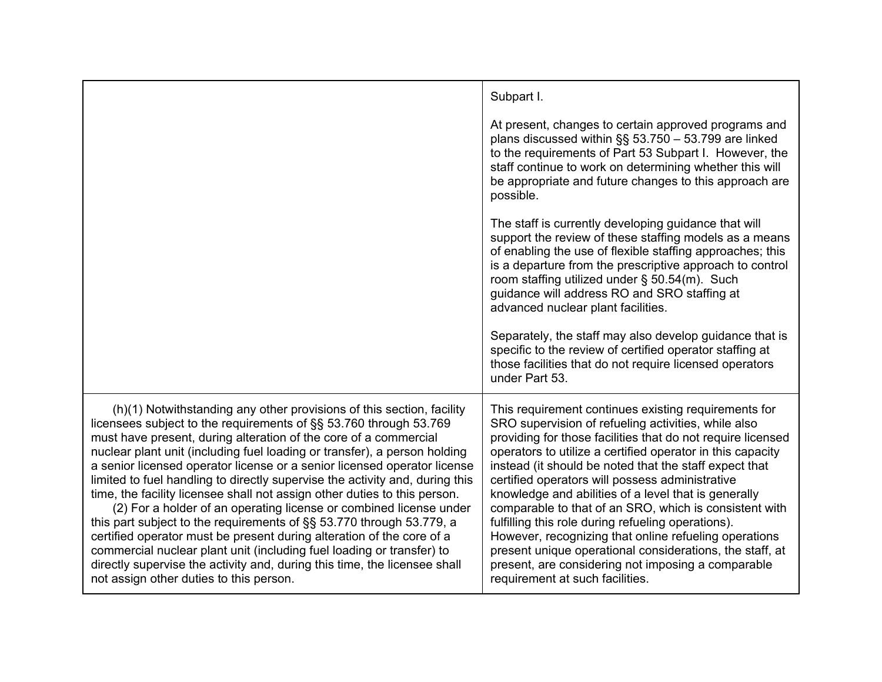|                                                                                                                                                                                                                                                                                                                                                                                                                                                                                                                                                                                                                                                                                                                                                                                                                                                                                                                                                              | Subpart I.                                                                                                                                                                                                                                                                                                                                                                                                                                                                                                                                                                                                                                                                                                                                  |
|--------------------------------------------------------------------------------------------------------------------------------------------------------------------------------------------------------------------------------------------------------------------------------------------------------------------------------------------------------------------------------------------------------------------------------------------------------------------------------------------------------------------------------------------------------------------------------------------------------------------------------------------------------------------------------------------------------------------------------------------------------------------------------------------------------------------------------------------------------------------------------------------------------------------------------------------------------------|---------------------------------------------------------------------------------------------------------------------------------------------------------------------------------------------------------------------------------------------------------------------------------------------------------------------------------------------------------------------------------------------------------------------------------------------------------------------------------------------------------------------------------------------------------------------------------------------------------------------------------------------------------------------------------------------------------------------------------------------|
|                                                                                                                                                                                                                                                                                                                                                                                                                                                                                                                                                                                                                                                                                                                                                                                                                                                                                                                                                              | At present, changes to certain approved programs and<br>plans discussed within $\S$ § 53.750 - 53.799 are linked<br>to the requirements of Part 53 Subpart I. However, the<br>staff continue to work on determining whether this will<br>be appropriate and future changes to this approach are<br>possible.                                                                                                                                                                                                                                                                                                                                                                                                                                |
|                                                                                                                                                                                                                                                                                                                                                                                                                                                                                                                                                                                                                                                                                                                                                                                                                                                                                                                                                              | The staff is currently developing guidance that will<br>support the review of these staffing models as a means<br>of enabling the use of flexible staffing approaches; this<br>is a departure from the prescriptive approach to control<br>room staffing utilized under § 50.54(m). Such<br>guidance will address RO and SRO staffing at<br>advanced nuclear plant facilities.                                                                                                                                                                                                                                                                                                                                                              |
|                                                                                                                                                                                                                                                                                                                                                                                                                                                                                                                                                                                                                                                                                                                                                                                                                                                                                                                                                              | Separately, the staff may also develop guidance that is<br>specific to the review of certified operator staffing at<br>those facilities that do not require licensed operators<br>under Part 53.                                                                                                                                                                                                                                                                                                                                                                                                                                                                                                                                            |
| (h)(1) Notwithstanding any other provisions of this section, facility<br>licensees subject to the requirements of §§ 53.760 through 53.769<br>must have present, during alteration of the core of a commercial<br>nuclear plant unit (including fuel loading or transfer), a person holding<br>a senior licensed operator license or a senior licensed operator license<br>limited to fuel handling to directly supervise the activity and, during this<br>time, the facility licensee shall not assign other duties to this person.<br>(2) For a holder of an operating license or combined license under<br>this part subject to the requirements of §§ 53.770 through 53.779, a<br>certified operator must be present during alteration of the core of a<br>commercial nuclear plant unit (including fuel loading or transfer) to<br>directly supervise the activity and, during this time, the licensee shall<br>not assign other duties to this person. | This requirement continues existing requirements for<br>SRO supervision of refueling activities, while also<br>providing for those facilities that do not require licensed<br>operators to utilize a certified operator in this capacity<br>instead (it should be noted that the staff expect that<br>certified operators will possess administrative<br>knowledge and abilities of a level that is generally<br>comparable to that of an SRO, which is consistent with<br>fulfilling this role during refueling operations).<br>However, recognizing that online refueling operations<br>present unique operational considerations, the staff, at<br>present, are considering not imposing a comparable<br>requirement at such facilities. |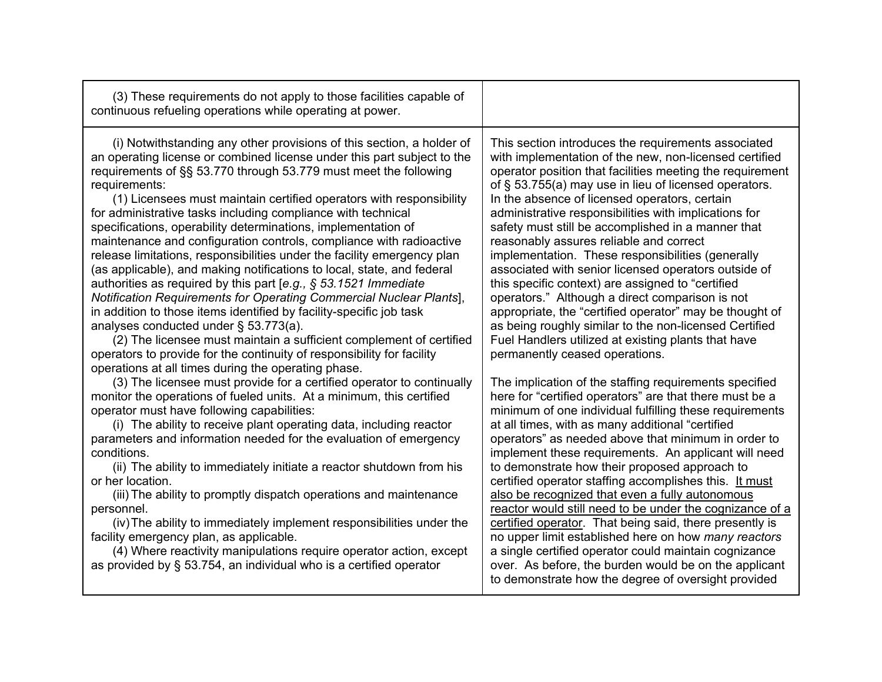| (3) These requirements do not apply to those facilities capable of<br>continuous refueling operations while operating at power.                                                                                                                                                                                                                                                                                                                                                                                                                                                                                                                                                                                                                                                                                                                                                                                                                                                                                                                                                                                                                |                                                                                                                                                                                                                                                                                                                                                                                                                                                                                                                                                                                                                                                                                                                                                                                                                                                                                   |
|------------------------------------------------------------------------------------------------------------------------------------------------------------------------------------------------------------------------------------------------------------------------------------------------------------------------------------------------------------------------------------------------------------------------------------------------------------------------------------------------------------------------------------------------------------------------------------------------------------------------------------------------------------------------------------------------------------------------------------------------------------------------------------------------------------------------------------------------------------------------------------------------------------------------------------------------------------------------------------------------------------------------------------------------------------------------------------------------------------------------------------------------|-----------------------------------------------------------------------------------------------------------------------------------------------------------------------------------------------------------------------------------------------------------------------------------------------------------------------------------------------------------------------------------------------------------------------------------------------------------------------------------------------------------------------------------------------------------------------------------------------------------------------------------------------------------------------------------------------------------------------------------------------------------------------------------------------------------------------------------------------------------------------------------|
| (i) Notwithstanding any other provisions of this section, a holder of<br>an operating license or combined license under this part subject to the<br>requirements of §§ 53.770 through 53.779 must meet the following<br>requirements:<br>(1) Licensees must maintain certified operators with responsibility<br>for administrative tasks including compliance with technical<br>specifications, operability determinations, implementation of<br>maintenance and configuration controls, compliance with radioactive<br>release limitations, responsibilities under the facility emergency plan<br>(as applicable), and making notifications to local, state, and federal<br>authorities as required by this part [e.g., $\S$ 53.1521 Immediate<br>Notification Requirements for Operating Commercial Nuclear Plants],<br>in addition to those items identified by facility-specific job task<br>analyses conducted under § 53.773(a).<br>(2) The licensee must maintain a sufficient complement of certified<br>operators to provide for the continuity of responsibility for facility<br>operations at all times during the operating phase. | This section introduces the requirements associated<br>with implementation of the new, non-licensed certified<br>operator position that facilities meeting the requirement<br>of § 53.755(a) may use in lieu of licensed operators.<br>In the absence of licensed operators, certain<br>administrative responsibilities with implications for<br>safety must still be accomplished in a manner that<br>reasonably assures reliable and correct<br>implementation. These responsibilities (generally<br>associated with senior licensed operators outside of<br>this specific context) are assigned to "certified<br>operators." Although a direct comparison is not<br>appropriate, the "certified operator" may be thought of<br>as being roughly similar to the non-licensed Certified<br>Fuel Handlers utilized at existing plants that have<br>permanently ceased operations. |
| (3) The licensee must provide for a certified operator to continually<br>monitor the operations of fueled units. At a minimum, this certified<br>operator must have following capabilities:<br>(i) The ability to receive plant operating data, including reactor<br>parameters and information needed for the evaluation of emergency<br>conditions.<br>(ii) The ability to immediately initiate a reactor shutdown from his<br>or her location.<br>(iii) The ability to promptly dispatch operations and maintenance<br>personnel.<br>(iv) The ability to immediately implement responsibilities under the<br>facility emergency plan, as applicable.<br>(4) Where reactivity manipulations require operator action, except<br>as provided by § 53.754, an individual who is a certified operator                                                                                                                                                                                                                                                                                                                                            | The implication of the staffing requirements specified<br>here for "certified operators" are that there must be a<br>minimum of one individual fulfilling these requirements<br>at all times, with as many additional "certified<br>operators" as needed above that minimum in order to<br>implement these requirements. An applicant will need<br>to demonstrate how their proposed approach to<br>certified operator staffing accomplishes this. It must<br>also be recognized that even a fully autonomous<br>reactor would still need to be under the cognizance of a<br>certified operator. That being said, there presently is<br>no upper limit established here on how many reactors<br>a single certified operator could maintain cognizance<br>over. As before, the burden would be on the applicant<br>to demonstrate how the degree of oversight provided             |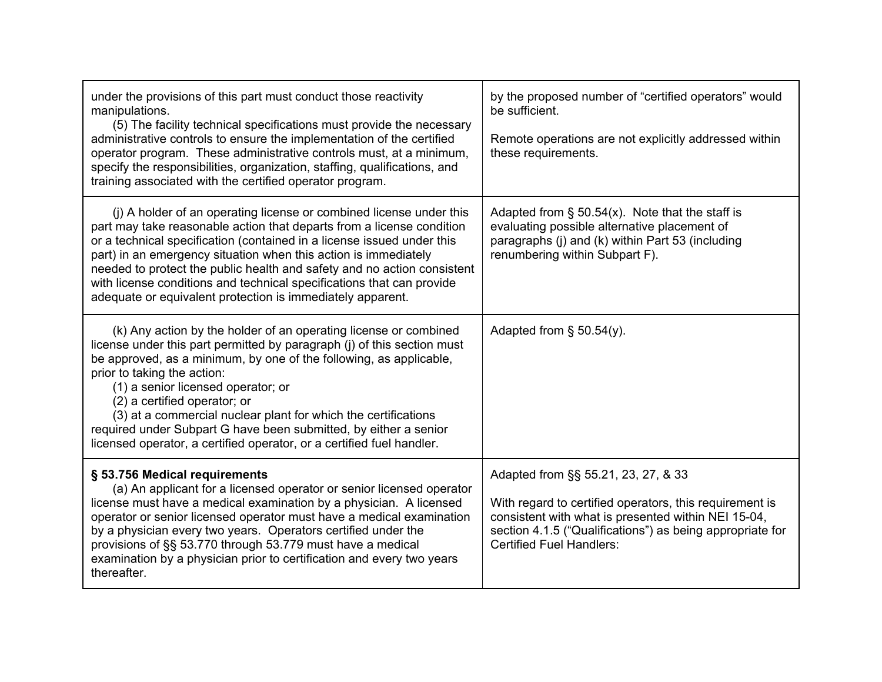| under the provisions of this part must conduct those reactivity<br>manipulations.<br>(5) The facility technical specifications must provide the necessary<br>administrative controls to ensure the implementation of the certified<br>operator program. These administrative controls must, at a minimum,<br>specify the responsibilities, organization, staffing, qualifications, and<br>training associated with the certified operator program.                                                                                    | by the proposed number of "certified operators" would<br>be sufficient.<br>Remote operations are not explicitly addressed within<br>these requirements.                                                                                               |
|---------------------------------------------------------------------------------------------------------------------------------------------------------------------------------------------------------------------------------------------------------------------------------------------------------------------------------------------------------------------------------------------------------------------------------------------------------------------------------------------------------------------------------------|-------------------------------------------------------------------------------------------------------------------------------------------------------------------------------------------------------------------------------------------------------|
| (i) A holder of an operating license or combined license under this<br>part may take reasonable action that departs from a license condition<br>or a technical specification (contained in a license issued under this<br>part) in an emergency situation when this action is immediately<br>needed to protect the public health and safety and no action consistent<br>with license conditions and technical specifications that can provide<br>adequate or equivalent protection is immediately apparent.                           | Adapted from $\S$ 50.54(x). Note that the staff is<br>evaluating possible alternative placement of<br>paragraphs (j) and (k) within Part 53 (including<br>renumbering within Subpart F).                                                              |
| (k) Any action by the holder of an operating license or combined<br>license under this part permitted by paragraph (j) of this section must<br>be approved, as a minimum, by one of the following, as applicable,<br>prior to taking the action:<br>(1) a senior licensed operator; or<br>(2) a certified operator; or<br>(3) at a commercial nuclear plant for which the certifications<br>required under Subpart G have been submitted, by either a senior<br>licensed operator, a certified operator, or a certified fuel handler. | Adapted from $\S$ 50.54(y).                                                                                                                                                                                                                           |
| § 53.756 Medical requirements<br>(a) An applicant for a licensed operator or senior licensed operator<br>license must have a medical examination by a physician. A licensed<br>operator or senior licensed operator must have a medical examination<br>by a physician every two years. Operators certified under the<br>provisions of §§ 53.770 through 53.779 must have a medical<br>examination by a physician prior to certification and every two years<br>thereafter.                                                            | Adapted from §§ 55.21, 23, 27, & 33<br>With regard to certified operators, this requirement is<br>consistent with what is presented within NEI 15-04,<br>section 4.1.5 ("Qualifications") as being appropriate for<br><b>Certified Fuel Handlers:</b> |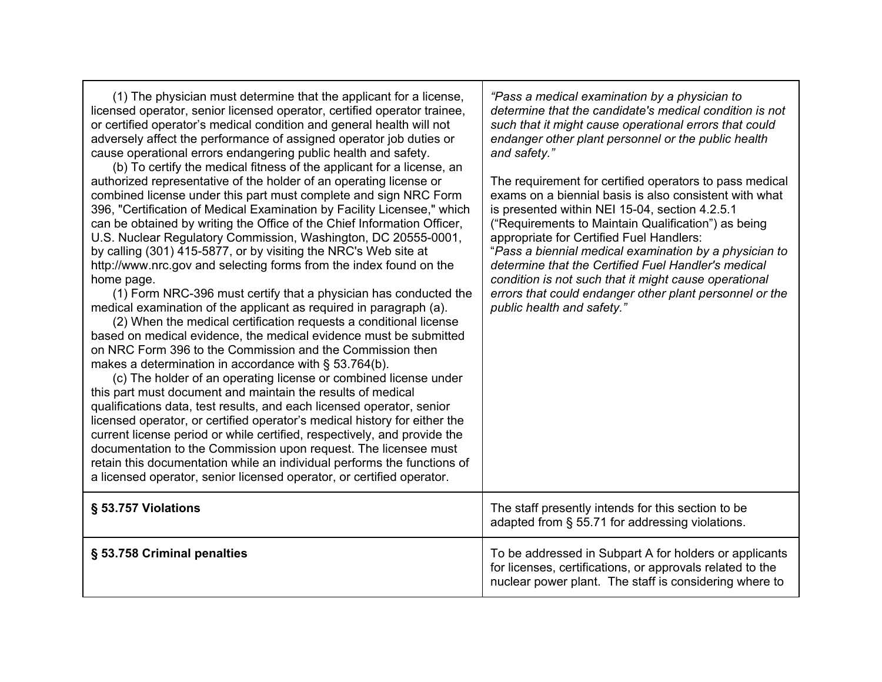| (1) The physician must determine that the applicant for a license,<br>licensed operator, senior licensed operator, certified operator trainee,<br>or certified operator's medical condition and general health will not<br>adversely affect the performance of assigned operator job duties or<br>cause operational errors endangering public health and safety.<br>(b) To certify the medical fitness of the applicant for a license, an<br>authorized representative of the holder of an operating license or<br>combined license under this part must complete and sign NRC Form<br>396, "Certification of Medical Examination by Facility Licensee," which<br>can be obtained by writing the Office of the Chief Information Officer,<br>U.S. Nuclear Regulatory Commission, Washington, DC 20555-0001,<br>by calling (301) 415-5877, or by visiting the NRC's Web site at<br>http://www.nrc.gov and selecting forms from the index found on the<br>home page.<br>(1) Form NRC-396 must certify that a physician has conducted the<br>medical examination of the applicant as required in paragraph (a).<br>(2) When the medical certification requests a conditional license<br>based on medical evidence, the medical evidence must be submitted<br>on NRC Form 396 to the Commission and the Commission then<br>makes a determination in accordance with § 53.764(b).<br>(c) The holder of an operating license or combined license under<br>this part must document and maintain the results of medical<br>qualifications data, test results, and each licensed operator, senior<br>licensed operator, or certified operator's medical history for either the<br>current license period or while certified, respectively, and provide the<br>documentation to the Commission upon request. The licensee must<br>retain this documentation while an individual performs the functions of<br>a licensed operator, senior licensed operator, or certified operator. | "Pass a medical examination by a physician to<br>determine that the candidate's medical condition is not<br>such that it might cause operational errors that could<br>endanger other plant personnel or the public health<br>and safety."<br>The requirement for certified operators to pass medical<br>exams on a biennial basis is also consistent with what<br>is presented within NEI 15-04, section 4.2.5.1<br>("Requirements to Maintain Qualification") as being<br>appropriate for Certified Fuel Handlers:<br>"Pass a biennial medical examination by a physician to<br>determine that the Certified Fuel Handler's medical<br>condition is not such that it might cause operational<br>errors that could endanger other plant personnel or the<br>public health and safety." |
|--------------------------------------------------------------------------------------------------------------------------------------------------------------------------------------------------------------------------------------------------------------------------------------------------------------------------------------------------------------------------------------------------------------------------------------------------------------------------------------------------------------------------------------------------------------------------------------------------------------------------------------------------------------------------------------------------------------------------------------------------------------------------------------------------------------------------------------------------------------------------------------------------------------------------------------------------------------------------------------------------------------------------------------------------------------------------------------------------------------------------------------------------------------------------------------------------------------------------------------------------------------------------------------------------------------------------------------------------------------------------------------------------------------------------------------------------------------------------------------------------------------------------------------------------------------------------------------------------------------------------------------------------------------------------------------------------------------------------------------------------------------------------------------------------------------------------------------------------------------------------------------------------------------------------------------------------------------------------|----------------------------------------------------------------------------------------------------------------------------------------------------------------------------------------------------------------------------------------------------------------------------------------------------------------------------------------------------------------------------------------------------------------------------------------------------------------------------------------------------------------------------------------------------------------------------------------------------------------------------------------------------------------------------------------------------------------------------------------------------------------------------------------|
| § 53.757 Violations                                                                                                                                                                                                                                                                                                                                                                                                                                                                                                                                                                                                                                                                                                                                                                                                                                                                                                                                                                                                                                                                                                                                                                                                                                                                                                                                                                                                                                                                                                                                                                                                                                                                                                                                                                                                                                                                                                                                                      | The staff presently intends for this section to be<br>adapted from § 55.71 for addressing violations.                                                                                                                                                                                                                                                                                                                                                                                                                                                                                                                                                                                                                                                                                  |
| § 53.758 Criminal penalties                                                                                                                                                                                                                                                                                                                                                                                                                                                                                                                                                                                                                                                                                                                                                                                                                                                                                                                                                                                                                                                                                                                                                                                                                                                                                                                                                                                                                                                                                                                                                                                                                                                                                                                                                                                                                                                                                                                                              | To be addressed in Subpart A for holders or applicants<br>for licenses, certifications, or approvals related to the<br>nuclear power plant. The staff is considering where to                                                                                                                                                                                                                                                                                                                                                                                                                                                                                                                                                                                                          |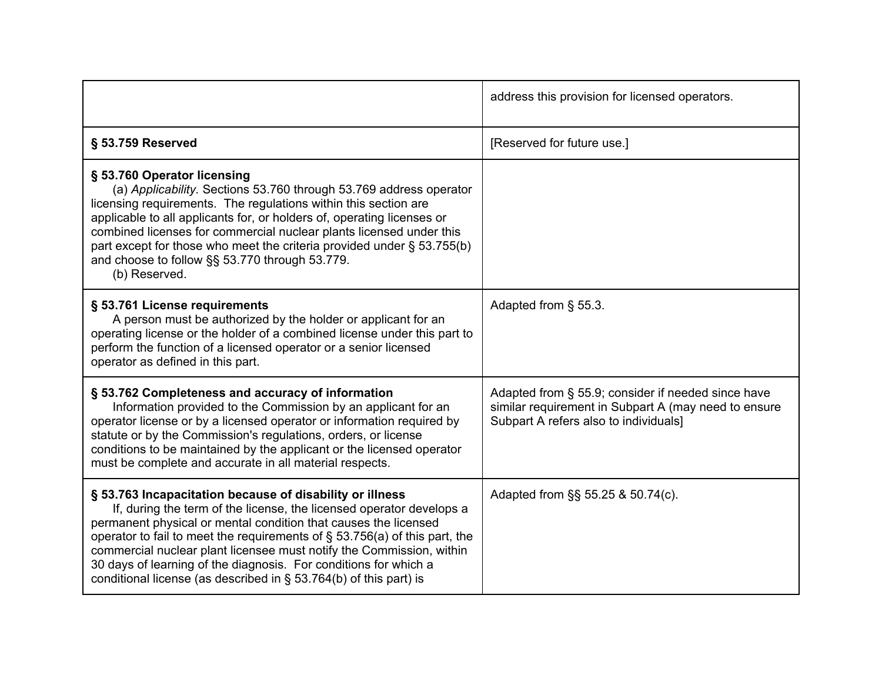|                                                                                                                                                                                                                                                                                                                                                                                                                                                                                                          | address this provision for licensed operators.                                                                                                      |
|----------------------------------------------------------------------------------------------------------------------------------------------------------------------------------------------------------------------------------------------------------------------------------------------------------------------------------------------------------------------------------------------------------------------------------------------------------------------------------------------------------|-----------------------------------------------------------------------------------------------------------------------------------------------------|
| § 53.759 Reserved                                                                                                                                                                                                                                                                                                                                                                                                                                                                                        | [Reserved for future use.]                                                                                                                          |
| § 53.760 Operator licensing<br>(a) Applicability. Sections 53.760 through 53.769 address operator<br>licensing requirements. The regulations within this section are<br>applicable to all applicants for, or holders of, operating licenses or<br>combined licenses for commercial nuclear plants licensed under this<br>part except for those who meet the criteria provided under § 53.755(b)<br>and choose to follow §§ 53.770 through 53.779.<br>(b) Reserved.                                       |                                                                                                                                                     |
| § 53.761 License requirements<br>A person must be authorized by the holder or applicant for an<br>operating license or the holder of a combined license under this part to<br>perform the function of a licensed operator or a senior licensed<br>operator as defined in this part.                                                                                                                                                                                                                      | Adapted from § 55.3.                                                                                                                                |
| § 53.762 Completeness and accuracy of information<br>Information provided to the Commission by an applicant for an<br>operator license or by a licensed operator or information required by<br>statute or by the Commission's regulations, orders, or license<br>conditions to be maintained by the applicant or the licensed operator<br>must be complete and accurate in all material respects.                                                                                                        | Adapted from § 55.9; consider if needed since have<br>similar requirement in Subpart A (may need to ensure<br>Subpart A refers also to individuals] |
| § 53.763 Incapacitation because of disability or illness<br>If, during the term of the license, the licensed operator develops a<br>permanent physical or mental condition that causes the licensed<br>operator to fail to meet the requirements of $\S$ 53.756(a) of this part, the<br>commercial nuclear plant licensee must notify the Commission, within<br>30 days of learning of the diagnosis. For conditions for which a<br>conditional license (as described in $\S$ 53.764(b) of this part) is | Adapted from §§ 55.25 & 50.74(c).                                                                                                                   |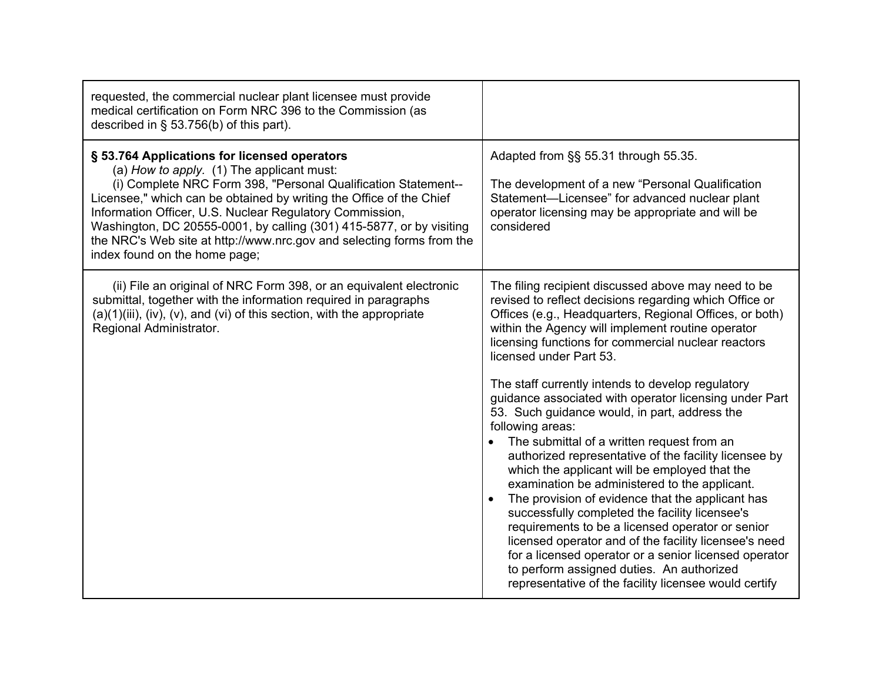| requested, the commercial nuclear plant licensee must provide<br>medical certification on Form NRC 396 to the Commission (as<br>described in $\S$ 53.756(b) of this part).                                                                                                                                                                                                                                                                                                       |                                                                                                                                                                                                                                                                                                                                                                                                                                                                                                                                                                                                                                                                                                                                                                                                                                                                                                                                                                                                                                                                                                |
|----------------------------------------------------------------------------------------------------------------------------------------------------------------------------------------------------------------------------------------------------------------------------------------------------------------------------------------------------------------------------------------------------------------------------------------------------------------------------------|------------------------------------------------------------------------------------------------------------------------------------------------------------------------------------------------------------------------------------------------------------------------------------------------------------------------------------------------------------------------------------------------------------------------------------------------------------------------------------------------------------------------------------------------------------------------------------------------------------------------------------------------------------------------------------------------------------------------------------------------------------------------------------------------------------------------------------------------------------------------------------------------------------------------------------------------------------------------------------------------------------------------------------------------------------------------------------------------|
| § 53.764 Applications for licensed operators<br>(a) How to apply. (1) The applicant must:<br>(i) Complete NRC Form 398, "Personal Qualification Statement--<br>Licensee," which can be obtained by writing the Office of the Chief<br>Information Officer, U.S. Nuclear Regulatory Commission,<br>Washington, DC 20555-0001, by calling (301) 415-5877, or by visiting<br>the NRC's Web site at http://www.nrc.gov and selecting forms from the<br>index found on the home page; | Adapted from §§ 55.31 through 55.35.<br>The development of a new "Personal Qualification<br>Statement-Licensee" for advanced nuclear plant<br>operator licensing may be appropriate and will be<br>considered                                                                                                                                                                                                                                                                                                                                                                                                                                                                                                                                                                                                                                                                                                                                                                                                                                                                                  |
| (ii) File an original of NRC Form 398, or an equivalent electronic<br>submittal, together with the information required in paragraphs<br>$(a)(1)(iii)$ , $(iv)$ , $(v)$ , and $(vi)$ of this section, with the appropriate<br>Regional Administrator.                                                                                                                                                                                                                            | The filing recipient discussed above may need to be<br>revised to reflect decisions regarding which Office or<br>Offices (e.g., Headquarters, Regional Offices, or both)<br>within the Agency will implement routine operator<br>licensing functions for commercial nuclear reactors<br>licensed under Part 53.<br>The staff currently intends to develop regulatory<br>guidance associated with operator licensing under Part<br>53. Such guidance would, in part, address the<br>following areas:<br>The submittal of a written request from an<br>authorized representative of the facility licensee by<br>which the applicant will be employed that the<br>examination be administered to the applicant.<br>The provision of evidence that the applicant has<br>successfully completed the facility licensee's<br>requirements to be a licensed operator or senior<br>licensed operator and of the facility licensee's need<br>for a licensed operator or a senior licensed operator<br>to perform assigned duties. An authorized<br>representative of the facility licensee would certify |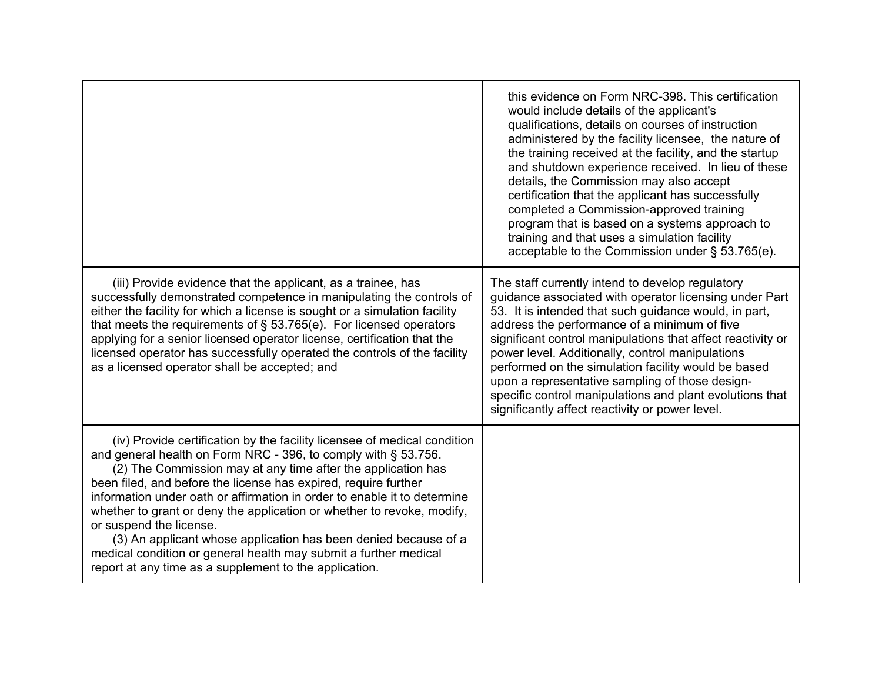|                                                                                                                                                                                                                                                                                                                                                                                                                                                                                                                                                                                                                                                                 | this evidence on Form NRC-398. This certification<br>would include details of the applicant's<br>qualifications, details on courses of instruction<br>administered by the facility licensee, the nature of<br>the training received at the facility, and the startup<br>and shutdown experience received. In lieu of these<br>details, the Commission may also accept<br>certification that the applicant has successfully<br>completed a Commission-approved training<br>program that is based on a systems approach to<br>training and that uses a simulation facility<br>acceptable to the Commission under § 53.765(e). |
|-----------------------------------------------------------------------------------------------------------------------------------------------------------------------------------------------------------------------------------------------------------------------------------------------------------------------------------------------------------------------------------------------------------------------------------------------------------------------------------------------------------------------------------------------------------------------------------------------------------------------------------------------------------------|-----------------------------------------------------------------------------------------------------------------------------------------------------------------------------------------------------------------------------------------------------------------------------------------------------------------------------------------------------------------------------------------------------------------------------------------------------------------------------------------------------------------------------------------------------------------------------------------------------------------------------|
| (iii) Provide evidence that the applicant, as a trainee, has<br>successfully demonstrated competence in manipulating the controls of<br>either the facility for which a license is sought or a simulation facility<br>that meets the requirements of $\S$ 53.765(e). For licensed operators<br>applying for a senior licensed operator license, certification that the<br>licensed operator has successfully operated the controls of the facility<br>as a licensed operator shall be accepted; and                                                                                                                                                             | The staff currently intend to develop regulatory<br>guidance associated with operator licensing under Part<br>53. It is intended that such guidance would, in part,<br>address the performance of a minimum of five<br>significant control manipulations that affect reactivity or<br>power level. Additionally, control manipulations<br>performed on the simulation facility would be based<br>upon a representative sampling of those design-<br>specific control manipulations and plant evolutions that<br>significantly affect reactivity or power level.                                                             |
| (iv) Provide certification by the facility licensee of medical condition<br>and general health on Form NRC - 396, to comply with § 53.756.<br>(2) The Commission may at any time after the application has<br>been filed, and before the license has expired, require further<br>information under oath or affirmation in order to enable it to determine<br>whether to grant or deny the application or whether to revoke, modify,<br>or suspend the license.<br>(3) An applicant whose application has been denied because of a<br>medical condition or general health may submit a further medical<br>report at any time as a supplement to the application. |                                                                                                                                                                                                                                                                                                                                                                                                                                                                                                                                                                                                                             |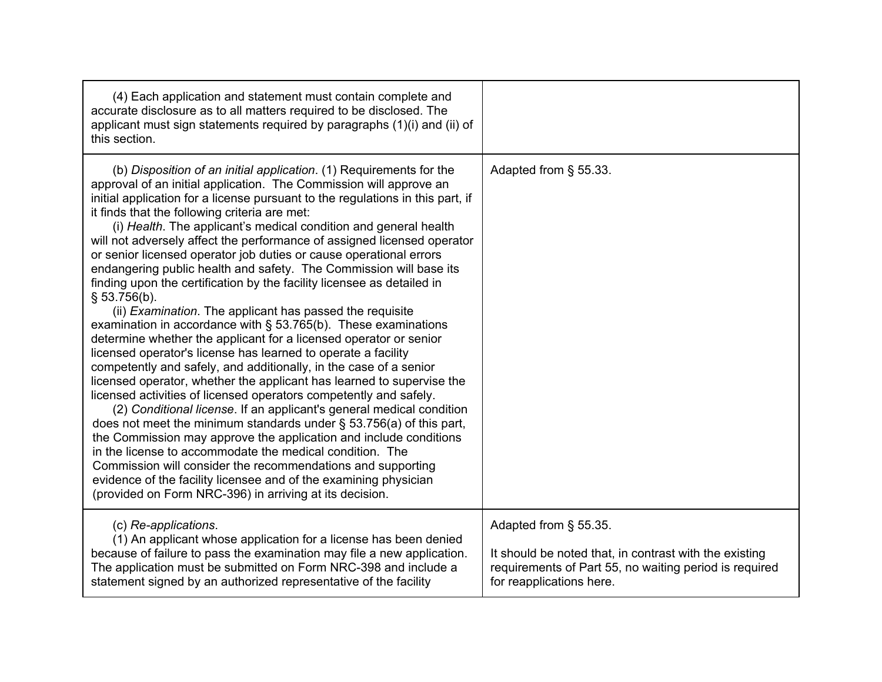| (4) Each application and statement must contain complete and<br>accurate disclosure as to all matters required to be disclosed. The<br>applicant must sign statements required by paragraphs (1)(i) and (ii) of<br>this section.                                                                                                                                                                                                                                                                                                                                                                                                                                                                                                                                                                                                                                                                                                                                                                                                                                                                                                                                                                                                                                                                                                                                                                                                                                                                                                                                                                                                                     |                                                                                                                                                                       |
|------------------------------------------------------------------------------------------------------------------------------------------------------------------------------------------------------------------------------------------------------------------------------------------------------------------------------------------------------------------------------------------------------------------------------------------------------------------------------------------------------------------------------------------------------------------------------------------------------------------------------------------------------------------------------------------------------------------------------------------------------------------------------------------------------------------------------------------------------------------------------------------------------------------------------------------------------------------------------------------------------------------------------------------------------------------------------------------------------------------------------------------------------------------------------------------------------------------------------------------------------------------------------------------------------------------------------------------------------------------------------------------------------------------------------------------------------------------------------------------------------------------------------------------------------------------------------------------------------------------------------------------------------|-----------------------------------------------------------------------------------------------------------------------------------------------------------------------|
| (b) Disposition of an initial application. (1) Requirements for the<br>approval of an initial application. The Commission will approve an<br>initial application for a license pursuant to the regulations in this part, if<br>it finds that the following criteria are met:<br>(i) Health. The applicant's medical condition and general health<br>will not adversely affect the performance of assigned licensed operator<br>or senior licensed operator job duties or cause operational errors<br>endangering public health and safety. The Commission will base its<br>finding upon the certification by the facility licensee as detailed in<br>\$53.756(b).<br>(ii) <i>Examination</i> . The applicant has passed the requisite<br>examination in accordance with $\S$ 53.765(b). These examinations<br>determine whether the applicant for a licensed operator or senior<br>licensed operator's license has learned to operate a facility<br>competently and safely, and additionally, in the case of a senior<br>licensed operator, whether the applicant has learned to supervise the<br>licensed activities of licensed operators competently and safely.<br>(2) Conditional license. If an applicant's general medical condition<br>does not meet the minimum standards under $\S$ 53.756(a) of this part,<br>the Commission may approve the application and include conditions<br>in the license to accommodate the medical condition. The<br>Commission will consider the recommendations and supporting<br>evidence of the facility licensee and of the examining physician<br>(provided on Form NRC-396) in arriving at its decision. | Adapted from § 55.33.                                                                                                                                                 |
| (c) Re-applications.<br>(1) An applicant whose application for a license has been denied<br>because of failure to pass the examination may file a new application.<br>The application must be submitted on Form NRC-398 and include a<br>statement signed by an authorized representative of the facility                                                                                                                                                                                                                                                                                                                                                                                                                                                                                                                                                                                                                                                                                                                                                                                                                                                                                                                                                                                                                                                                                                                                                                                                                                                                                                                                            | Adapted from § 55.35.<br>It should be noted that, in contrast with the existing<br>requirements of Part 55, no waiting period is required<br>for reapplications here. |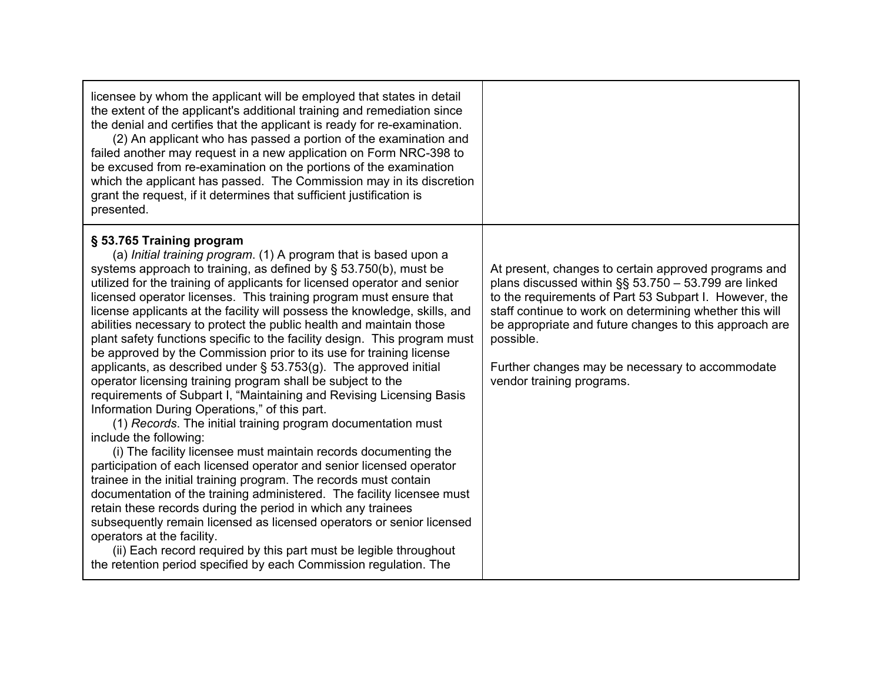| licensee by whom the applicant will be employed that states in detail<br>the extent of the applicant's additional training and remediation since<br>the denial and certifies that the applicant is ready for re-examination.<br>(2) An applicant who has passed a portion of the examination and<br>failed another may request in a new application on Form NRC-398 to<br>be excused from re-examination on the portions of the examination<br>which the applicant has passed. The Commission may in its discretion<br>grant the request, if it determines that sufficient justification is<br>presented.                                                                                                                                                                                                                                                                                                                                                                                                                                                                                                                                                                                                                                                                                                                                                                                                                                                                                                                                                                                           |                                                                                                                                                                                                                                                                                                                                                                                              |
|-----------------------------------------------------------------------------------------------------------------------------------------------------------------------------------------------------------------------------------------------------------------------------------------------------------------------------------------------------------------------------------------------------------------------------------------------------------------------------------------------------------------------------------------------------------------------------------------------------------------------------------------------------------------------------------------------------------------------------------------------------------------------------------------------------------------------------------------------------------------------------------------------------------------------------------------------------------------------------------------------------------------------------------------------------------------------------------------------------------------------------------------------------------------------------------------------------------------------------------------------------------------------------------------------------------------------------------------------------------------------------------------------------------------------------------------------------------------------------------------------------------------------------------------------------------------------------------------------------|----------------------------------------------------------------------------------------------------------------------------------------------------------------------------------------------------------------------------------------------------------------------------------------------------------------------------------------------------------------------------------------------|
| § 53.765 Training program<br>(a) Initial training program. (1) A program that is based upon a<br>systems approach to training, as defined by $\S$ 53.750(b), must be<br>utilized for the training of applicants for licensed operator and senior<br>licensed operator licenses. This training program must ensure that<br>license applicants at the facility will possess the knowledge, skills, and<br>abilities necessary to protect the public health and maintain those<br>plant safety functions specific to the facility design. This program must<br>be approved by the Commission prior to its use for training license<br>applicants, as described under $\S$ 53.753(g). The approved initial<br>operator licensing training program shall be subject to the<br>requirements of Subpart I, "Maintaining and Revising Licensing Basis<br>Information During Operations," of this part.<br>(1) Records. The initial training program documentation must<br>include the following:<br>(i) The facility licensee must maintain records documenting the<br>participation of each licensed operator and senior licensed operator<br>trainee in the initial training program. The records must contain<br>documentation of the training administered. The facility licensee must<br>retain these records during the period in which any trainees<br>subsequently remain licensed as licensed operators or senior licensed<br>operators at the facility.<br>(ii) Each record required by this part must be legible throughout<br>the retention period specified by each Commission regulation. The | At present, changes to certain approved programs and<br>plans discussed within $\S$ § 53.750 - 53.799 are linked<br>to the requirements of Part 53 Subpart I. However, the<br>staff continue to work on determining whether this will<br>be appropriate and future changes to this approach are<br>possible.<br>Further changes may be necessary to accommodate<br>vendor training programs. |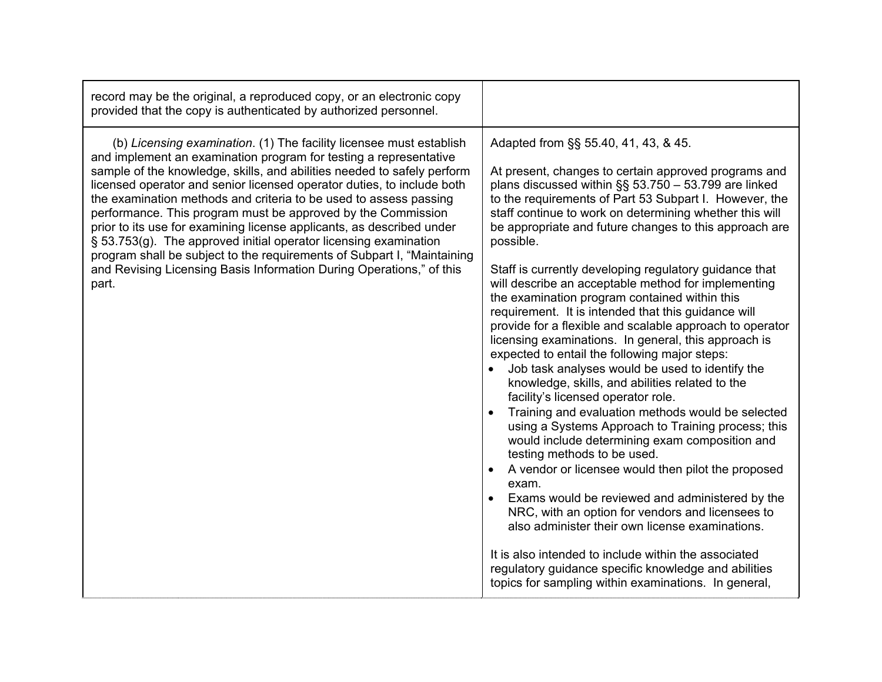| record may be the original, a reproduced copy, or an electronic copy<br>provided that the copy is authenticated by authorized personnel.                                                                                                                                                                                                                                                                                                                                                                                                                                                                                                                                                                                                    |                                                                                                                                                                                                                                                                                                                                                                                                                                                                                                                                                                                                                                                                                                                                                                                                                                                                                                                                                                                                                                                                                                                                                                                                                                                                                                                                                                                                                                                                                                      |
|---------------------------------------------------------------------------------------------------------------------------------------------------------------------------------------------------------------------------------------------------------------------------------------------------------------------------------------------------------------------------------------------------------------------------------------------------------------------------------------------------------------------------------------------------------------------------------------------------------------------------------------------------------------------------------------------------------------------------------------------|------------------------------------------------------------------------------------------------------------------------------------------------------------------------------------------------------------------------------------------------------------------------------------------------------------------------------------------------------------------------------------------------------------------------------------------------------------------------------------------------------------------------------------------------------------------------------------------------------------------------------------------------------------------------------------------------------------------------------------------------------------------------------------------------------------------------------------------------------------------------------------------------------------------------------------------------------------------------------------------------------------------------------------------------------------------------------------------------------------------------------------------------------------------------------------------------------------------------------------------------------------------------------------------------------------------------------------------------------------------------------------------------------------------------------------------------------------------------------------------------------|
| (b) Licensing examination. (1) The facility licensee must establish<br>and implement an examination program for testing a representative<br>sample of the knowledge, skills, and abilities needed to safely perform<br>licensed operator and senior licensed operator duties, to include both<br>the examination methods and criteria to be used to assess passing<br>performance. This program must be approved by the Commission<br>prior to its use for examining license applicants, as described under<br>§ 53.753(g). The approved initial operator licensing examination<br>program shall be subject to the requirements of Subpart I, "Maintaining<br>and Revising Licensing Basis Information During Operations," of this<br>part. | Adapted from §§ 55.40, 41, 43, & 45.<br>At present, changes to certain approved programs and<br>plans discussed within §§ 53.750 - 53.799 are linked<br>to the requirements of Part 53 Subpart I. However, the<br>staff continue to work on determining whether this will<br>be appropriate and future changes to this approach are<br>possible.<br>Staff is currently developing regulatory guidance that<br>will describe an acceptable method for implementing<br>the examination program contained within this<br>requirement. It is intended that this guidance will<br>provide for a flexible and scalable approach to operator<br>licensing examinations. In general, this approach is<br>expected to entail the following major steps:<br>Job task analyses would be used to identify the<br>knowledge, skills, and abilities related to the<br>facility's licensed operator role.<br>Training and evaluation methods would be selected<br>$\bullet$<br>using a Systems Approach to Training process; this<br>would include determining exam composition and<br>testing methods to be used.<br>A vendor or licensee would then pilot the proposed<br>exam.<br>Exams would be reviewed and administered by the<br>NRC, with an option for vendors and licensees to<br>also administer their own license examinations.<br>It is also intended to include within the associated<br>regulatory guidance specific knowledge and abilities<br>topics for sampling within examinations. In general, |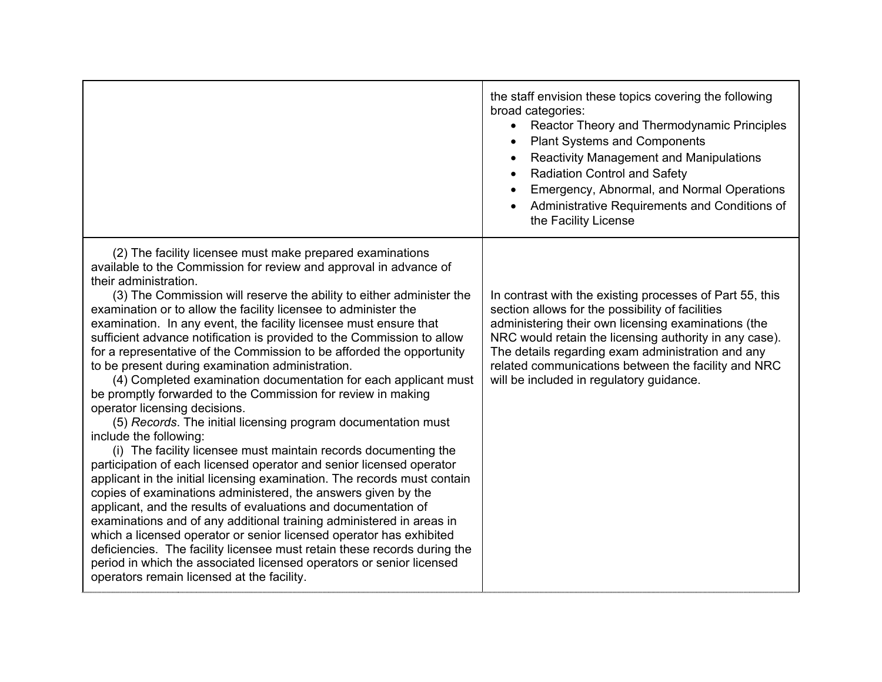|                                                                                                                                                                                                                                                                                                                                                                                                                                                                                                                                                                                                                                                                                                                                                                                                                                                                                                                                                                                                                                                                                                                                                                                                                                                                                                                                                                                                                                                                                                                                                          | the staff envision these topics covering the following<br>broad categories:<br>Reactor Theory and Thermodynamic Principles<br><b>Plant Systems and Components</b><br><b>Reactivity Management and Manipulations</b><br><b>Radiation Control and Safety</b><br>Emergency, Abnormal, and Normal Operations<br>Administrative Requirements and Conditions of<br>the Facility License     |
|----------------------------------------------------------------------------------------------------------------------------------------------------------------------------------------------------------------------------------------------------------------------------------------------------------------------------------------------------------------------------------------------------------------------------------------------------------------------------------------------------------------------------------------------------------------------------------------------------------------------------------------------------------------------------------------------------------------------------------------------------------------------------------------------------------------------------------------------------------------------------------------------------------------------------------------------------------------------------------------------------------------------------------------------------------------------------------------------------------------------------------------------------------------------------------------------------------------------------------------------------------------------------------------------------------------------------------------------------------------------------------------------------------------------------------------------------------------------------------------------------------------------------------------------------------|---------------------------------------------------------------------------------------------------------------------------------------------------------------------------------------------------------------------------------------------------------------------------------------------------------------------------------------------------------------------------------------|
| (2) The facility licensee must make prepared examinations<br>available to the Commission for review and approval in advance of<br>their administration.<br>(3) The Commission will reserve the ability to either administer the<br>examination or to allow the facility licensee to administer the<br>examination. In any event, the facility licensee must ensure that<br>sufficient advance notification is provided to the Commission to allow<br>for a representative of the Commission to be afforded the opportunity<br>to be present during examination administration.<br>(4) Completed examination documentation for each applicant must<br>be promptly forwarded to the Commission for review in making<br>operator licensing decisions.<br>(5) Records. The initial licensing program documentation must<br>include the following:<br>(i) The facility licensee must maintain records documenting the<br>participation of each licensed operator and senior licensed operator<br>applicant in the initial licensing examination. The records must contain<br>copies of examinations administered, the answers given by the<br>applicant, and the results of evaluations and documentation of<br>examinations and of any additional training administered in areas in<br>which a licensed operator or senior licensed operator has exhibited<br>deficiencies. The facility licensee must retain these records during the<br>period in which the associated licensed operators or senior licensed<br>operators remain licensed at the facility. | In contrast with the existing processes of Part 55, this<br>section allows for the possibility of facilities<br>administering their own licensing examinations (the<br>NRC would retain the licensing authority in any case).<br>The details regarding exam administration and any<br>related communications between the facility and NRC<br>will be included in regulatory guidance. |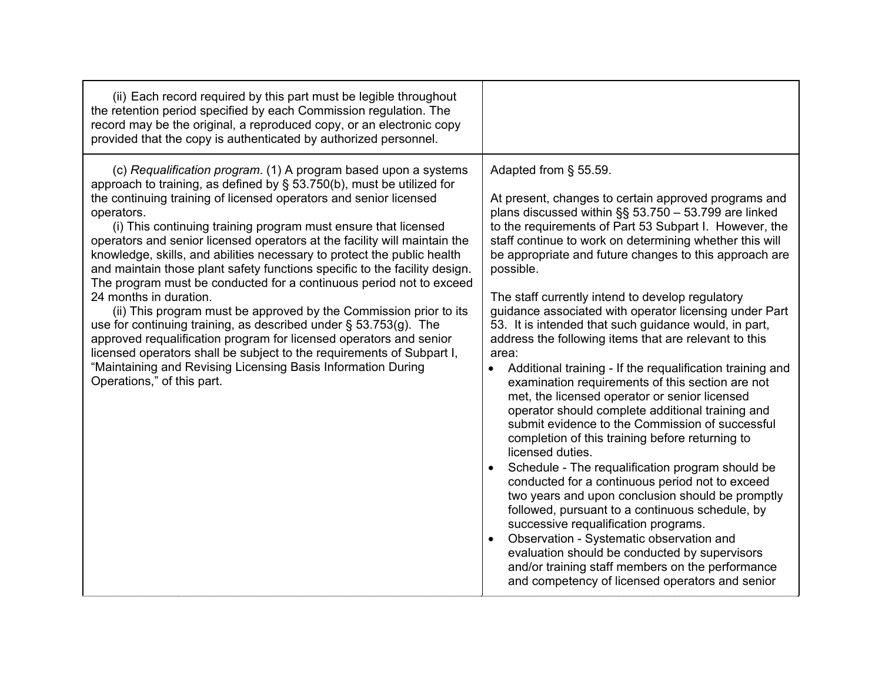| (ii) Each record required by this part must be legible throughout<br>the retention period specified by each Commission regulation. The<br>record may be the original, a reproduced copy, or an electronic copy<br>provided that the copy is authenticated by authorized personnel.                                                                                                                                                                                                                                                                                                                                                                                                                                                                                                                                                                                                                                                                                                                                            |                                                                                                                                                                                                                                                                                                                                                                                                                                                                                                                                                                                                                                                                                                                                                                                                                                                                                                                                                                                                                                                                                                                                                                                                                                                                                                                                                                                                   |
|-------------------------------------------------------------------------------------------------------------------------------------------------------------------------------------------------------------------------------------------------------------------------------------------------------------------------------------------------------------------------------------------------------------------------------------------------------------------------------------------------------------------------------------------------------------------------------------------------------------------------------------------------------------------------------------------------------------------------------------------------------------------------------------------------------------------------------------------------------------------------------------------------------------------------------------------------------------------------------------------------------------------------------|---------------------------------------------------------------------------------------------------------------------------------------------------------------------------------------------------------------------------------------------------------------------------------------------------------------------------------------------------------------------------------------------------------------------------------------------------------------------------------------------------------------------------------------------------------------------------------------------------------------------------------------------------------------------------------------------------------------------------------------------------------------------------------------------------------------------------------------------------------------------------------------------------------------------------------------------------------------------------------------------------------------------------------------------------------------------------------------------------------------------------------------------------------------------------------------------------------------------------------------------------------------------------------------------------------------------------------------------------------------------------------------------------|
| (c) Requalification program. (1) A program based upon a systems<br>approach to training, as defined by § 53.750(b), must be utilized for<br>the continuing training of licensed operators and senior licensed<br>operators.<br>(i) This continuing training program must ensure that licensed<br>operators and senior licensed operators at the facility will maintain the<br>knowledge, skills, and abilities necessary to protect the public health<br>and maintain those plant safety functions specific to the facility design.<br>The program must be conducted for a continuous period not to exceed<br>24 months in duration.<br>(ii) This program must be approved by the Commission prior to its<br>use for continuing training, as described under $\S$ 53.753(g). The<br>approved requalification program for licensed operators and senior<br>licensed operators shall be subject to the requirements of Subpart I,<br>"Maintaining and Revising Licensing Basis Information During<br>Operations," of this part. | Adapted from § 55.59.<br>At present, changes to certain approved programs and<br>plans discussed within §§ 53.750 - 53.799 are linked<br>to the requirements of Part 53 Subpart I. However, the<br>staff continue to work on determining whether this will<br>be appropriate and future changes to this approach are<br>possible.<br>The staff currently intend to develop regulatory<br>guidance associated with operator licensing under Part<br>53. It is intended that such guidance would, in part,<br>address the following items that are relevant to this<br>area:<br>Additional training - If the requalification training and<br>$\bullet$<br>examination requirements of this section are not<br>met, the licensed operator or senior licensed<br>operator should complete additional training and<br>submit evidence to the Commission of successful<br>completion of this training before returning to<br>licensed duties.<br>Schedule - The requalification program should be<br>conducted for a continuous period not to exceed<br>two years and upon conclusion should be promptly<br>followed, pursuant to a continuous schedule, by<br>successive requalification programs.<br>Observation - Systematic observation and<br>evaluation should be conducted by supervisors<br>and/or training staff members on the performance<br>and competency of licensed operators and senior |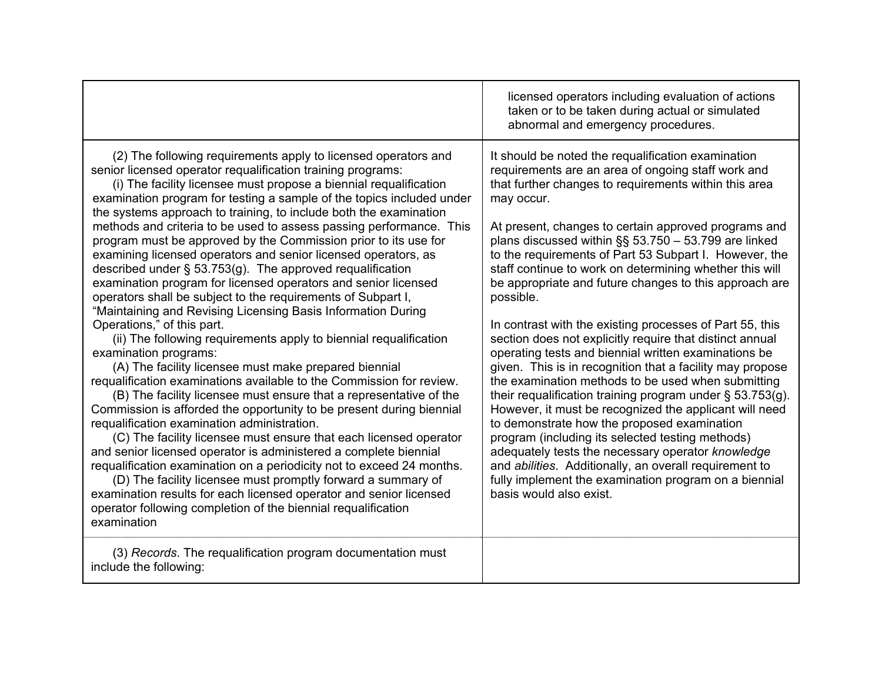|                                                                                                                                                                                                                                                                                                                                                                                                                                                                                                                                                                                                                                                                                                                                                                                                                                                                                                                                                                                                                                                                                                                                                                                                                                                                                                                                                                                                                                                                                                                                                                                                                                                                                                                                  | licensed operators including evaluation of actions<br>taken or to be taken during actual or simulated<br>abnormal and emergency procedures.                                                                                                                                                                                                                                                                                                                                                                                                                                                                                                                                                                                                                                                                                                                                                                                                                                                                                                                                                                                                                                                                                            |
|----------------------------------------------------------------------------------------------------------------------------------------------------------------------------------------------------------------------------------------------------------------------------------------------------------------------------------------------------------------------------------------------------------------------------------------------------------------------------------------------------------------------------------------------------------------------------------------------------------------------------------------------------------------------------------------------------------------------------------------------------------------------------------------------------------------------------------------------------------------------------------------------------------------------------------------------------------------------------------------------------------------------------------------------------------------------------------------------------------------------------------------------------------------------------------------------------------------------------------------------------------------------------------------------------------------------------------------------------------------------------------------------------------------------------------------------------------------------------------------------------------------------------------------------------------------------------------------------------------------------------------------------------------------------------------------------------------------------------------|----------------------------------------------------------------------------------------------------------------------------------------------------------------------------------------------------------------------------------------------------------------------------------------------------------------------------------------------------------------------------------------------------------------------------------------------------------------------------------------------------------------------------------------------------------------------------------------------------------------------------------------------------------------------------------------------------------------------------------------------------------------------------------------------------------------------------------------------------------------------------------------------------------------------------------------------------------------------------------------------------------------------------------------------------------------------------------------------------------------------------------------------------------------------------------------------------------------------------------------|
| (2) The following requirements apply to licensed operators and<br>senior licensed operator requalification training programs:<br>(i) The facility licensee must propose a biennial requalification<br>examination program for testing a sample of the topics included under<br>the systems approach to training, to include both the examination<br>methods and criteria to be used to assess passing performance. This<br>program must be approved by the Commission prior to its use for<br>examining licensed operators and senior licensed operators, as<br>described under $\S$ 53.753(g). The approved requalification<br>examination program for licensed operators and senior licensed<br>operators shall be subject to the requirements of Subpart I,<br>"Maintaining and Revising Licensing Basis Information During<br>Operations," of this part.<br>(ii) The following requirements apply to biennial requalification<br>examination programs:<br>(A) The facility licensee must make prepared biennial<br>requalification examinations available to the Commission for review.<br>(B) The facility licensee must ensure that a representative of the<br>Commission is afforded the opportunity to be present during biennial<br>requalification examination administration.<br>(C) The facility licensee must ensure that each licensed operator<br>and senior licensed operator is administered a complete biennial<br>requalification examination on a periodicity not to exceed 24 months.<br>(D) The facility licensee must promptly forward a summary of<br>examination results for each licensed operator and senior licensed<br>operator following completion of the biennial requalification<br>examination | It should be noted the requalification examination<br>requirements are an area of ongoing staff work and<br>that further changes to requirements within this area<br>may occur.<br>At present, changes to certain approved programs and<br>plans discussed within §§ 53.750 - 53.799 are linked<br>to the requirements of Part 53 Subpart I. However, the<br>staff continue to work on determining whether this will<br>be appropriate and future changes to this approach are<br>possible.<br>In contrast with the existing processes of Part 55, this<br>section does not explicitly require that distinct annual<br>operating tests and biennial written examinations be<br>given. This is in recognition that a facility may propose<br>the examination methods to be used when submitting<br>their requalification training program under $\S$ 53.753(g).<br>However, it must be recognized the applicant will need<br>to demonstrate how the proposed examination<br>program (including its selected testing methods)<br>adequately tests the necessary operator knowledge<br>and <i>abilities</i> . Additionally, an overall requirement to<br>fully implement the examination program on a biennial<br>basis would also exist. |
| (3) Records. The requalification program documentation must<br>include the following:                                                                                                                                                                                                                                                                                                                                                                                                                                                                                                                                                                                                                                                                                                                                                                                                                                                                                                                                                                                                                                                                                                                                                                                                                                                                                                                                                                                                                                                                                                                                                                                                                                            |                                                                                                                                                                                                                                                                                                                                                                                                                                                                                                                                                                                                                                                                                                                                                                                                                                                                                                                                                                                                                                                                                                                                                                                                                                        |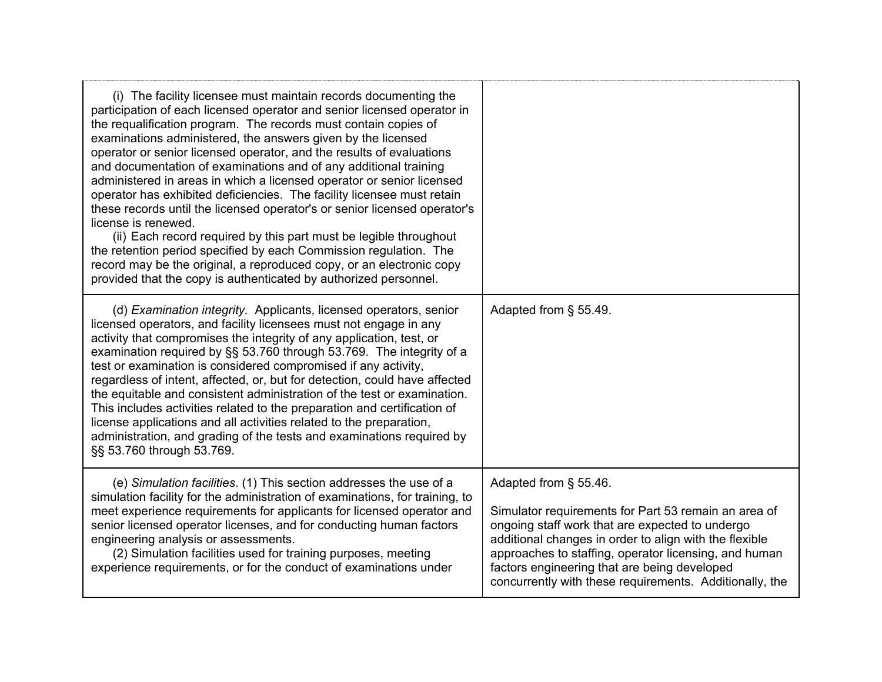| (i) The facility licensee must maintain records documenting the<br>participation of each licensed operator and senior licensed operator in<br>the requalification program. The records must contain copies of<br>examinations administered, the answers given by the licensed<br>operator or senior licensed operator, and the results of evaluations<br>and documentation of examinations and of any additional training<br>administered in areas in which a licensed operator or senior licensed<br>operator has exhibited deficiencies. The facility licensee must retain<br>these records until the licensed operator's or senior licensed operator's<br>license is renewed.<br>(ii) Each record required by this part must be legible throughout<br>the retention period specified by each Commission regulation. The<br>record may be the original, a reproduced copy, or an electronic copy<br>provided that the copy is authenticated by authorized personnel. |                                                                                                                                                                                                                                                                                                                                                                |
|------------------------------------------------------------------------------------------------------------------------------------------------------------------------------------------------------------------------------------------------------------------------------------------------------------------------------------------------------------------------------------------------------------------------------------------------------------------------------------------------------------------------------------------------------------------------------------------------------------------------------------------------------------------------------------------------------------------------------------------------------------------------------------------------------------------------------------------------------------------------------------------------------------------------------------------------------------------------|----------------------------------------------------------------------------------------------------------------------------------------------------------------------------------------------------------------------------------------------------------------------------------------------------------------------------------------------------------------|
| (d) Examination integrity. Applicants, licensed operators, senior<br>licensed operators, and facility licensees must not engage in any<br>activity that compromises the integrity of any application, test, or<br>examination required by §§ 53.760 through 53.769. The integrity of a<br>test or examination is considered compromised if any activity,<br>regardless of intent, affected, or, but for detection, could have affected<br>the equitable and consistent administration of the test or examination.<br>This includes activities related to the preparation and certification of<br>license applications and all activities related to the preparation,<br>administration, and grading of the tests and examinations required by<br>§§ 53.760 through 53.769.                                                                                                                                                                                             | Adapted from § 55.49.                                                                                                                                                                                                                                                                                                                                          |
| (e) Simulation facilities. (1) This section addresses the use of a<br>simulation facility for the administration of examinations, for training, to<br>meet experience requirements for applicants for licensed operator and<br>senior licensed operator licenses, and for conducting human factors<br>engineering analysis or assessments.<br>(2) Simulation facilities used for training purposes, meeting<br>experience requirements, or for the conduct of examinations under                                                                                                                                                                                                                                                                                                                                                                                                                                                                                       | Adapted from § 55.46.<br>Simulator requirements for Part 53 remain an area of<br>ongoing staff work that are expected to undergo<br>additional changes in order to align with the flexible<br>approaches to staffing, operator licensing, and human<br>factors engineering that are being developed<br>concurrently with these requirements. Additionally, the |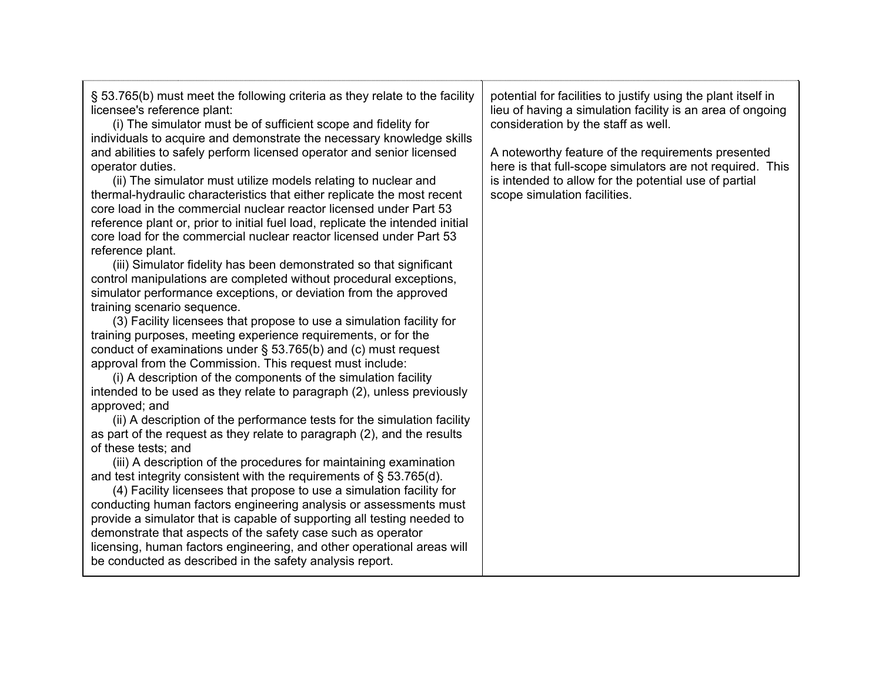| § 53.765(b) must meet the following criteria as they relate to the facility<br>licensee's reference plant:<br>(i) The simulator must be of sufficient scope and fidelity for<br>individuals to acquire and demonstrate the necessary knowledge skills<br>and abilities to safely perform licensed operator and senior licensed<br>operator duties.<br>(ii) The simulator must utilize models relating to nuclear and<br>thermal-hydraulic characteristics that either replicate the most recent<br>core load in the commercial nuclear reactor licensed under Part 53<br>reference plant or, prior to initial fuel load, replicate the intended initial<br>core load for the commercial nuclear reactor licensed under Part 53<br>reference plant.<br>(iii) Simulator fidelity has been demonstrated so that significant<br>control manipulations are completed without procedural exceptions,<br>simulator performance exceptions, or deviation from the approved<br>training scenario sequence.<br>(3) Facility licensees that propose to use a simulation facility for<br>training purposes, meeting experience requirements, or for the<br>conduct of examinations under $\S$ 53.765(b) and (c) must request<br>approval from the Commission. This request must include:<br>(i) A description of the components of the simulation facility<br>intended to be used as they relate to paragraph (2), unless previously<br>approved; and<br>(ii) A description of the performance tests for the simulation facility<br>as part of the request as they relate to paragraph (2), and the results<br>of these tests; and<br>(iii) A description of the procedures for maintaining examination<br>and test integrity consistent with the requirements of $\S$ 53.765(d).<br>(4) Facility licensees that propose to use a simulation facility for<br>conducting human factors engineering analysis or assessments must<br>provide a simulator that is capable of supporting all testing needed to | potential for facilities to justify using the plant itself in<br>lieu of having a simulation facility is an area of ongoing<br>consideration by the staff as well.<br>A noteworthy feature of the requirements presented<br>here is that full-scope simulators are not required. This<br>is intended to allow for the potential use of partial<br>scope simulation facilities. |
|-----------------------------------------------------------------------------------------------------------------------------------------------------------------------------------------------------------------------------------------------------------------------------------------------------------------------------------------------------------------------------------------------------------------------------------------------------------------------------------------------------------------------------------------------------------------------------------------------------------------------------------------------------------------------------------------------------------------------------------------------------------------------------------------------------------------------------------------------------------------------------------------------------------------------------------------------------------------------------------------------------------------------------------------------------------------------------------------------------------------------------------------------------------------------------------------------------------------------------------------------------------------------------------------------------------------------------------------------------------------------------------------------------------------------------------------------------------------------------------------------------------------------------------------------------------------------------------------------------------------------------------------------------------------------------------------------------------------------------------------------------------------------------------------------------------------------------------------------------------------------------------------------------------------------------------------------------------------------------------------------|--------------------------------------------------------------------------------------------------------------------------------------------------------------------------------------------------------------------------------------------------------------------------------------------------------------------------------------------------------------------------------|
| demonstrate that aspects of the safety case such as operator<br>licensing, human factors engineering, and other operational areas will<br>be conducted as described in the safety analysis report.                                                                                                                                                                                                                                                                                                                                                                                                                                                                                                                                                                                                                                                                                                                                                                                                                                                                                                                                                                                                                                                                                                                                                                                                                                                                                                                                                                                                                                                                                                                                                                                                                                                                                                                                                                                            |                                                                                                                                                                                                                                                                                                                                                                                |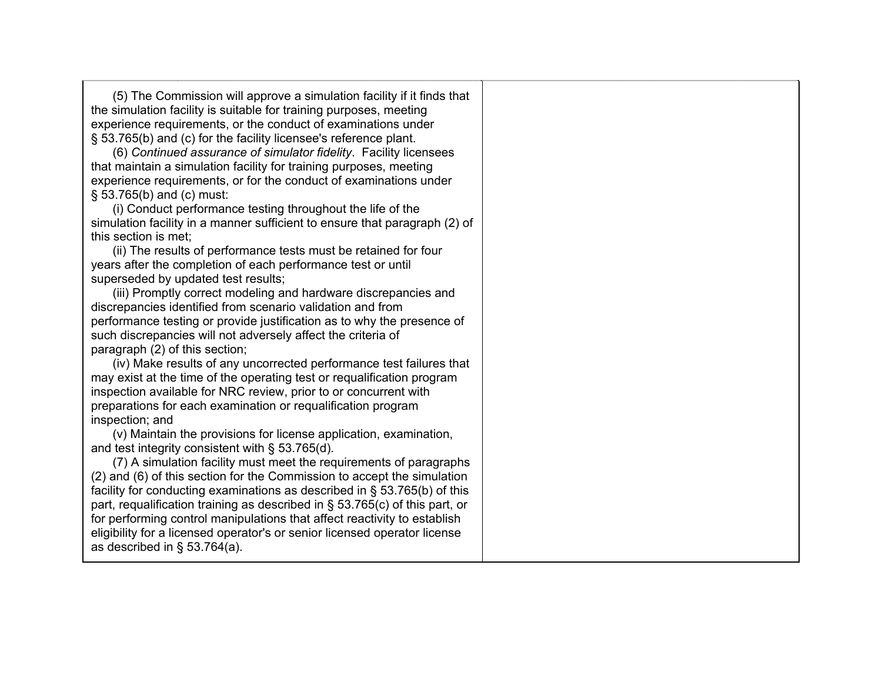(5) The Commission will approve a simulation facility if it finds that the simulation facility is suitable for training purposes, meeting experience requirements, or the conduct of examinations under § 53.765(b) and (c) for the facility licensee's reference plant.

(6) *Continued assurance of simulator fidelity*. Facility licensees that maintain a simulation facility for training purposes, meeting experience requirements, or for the conduct of examinations under § 53.765(b) and (c) must:

(i) Conduct performance testing throughout the life of the simulation facility in a manner sufficient to ensure that paragraph (2) of this section is met;

(ii) The results of performance tests must be retained for four years after the completion of each performance test or until superseded by updated test results;

(iii) Promptly correct modeling and hardware discrepancies and discrepancies identified from scenario validation and from performance testing or provide justification as to why the presence of such discrepancies will not adversely affect the criteria of paragraph (2) of this section;

(iv) Make results of any uncorrected performance test failures that may exist at the time of the operating test or requalification program inspection available for NRC review, prior to or concurrent with preparations for each examination or requalification program inspection; and

(v) Maintain the provisions for license application, examination, and test integrity consistent with § 53.765(d).

(7) A simulation facility must meet the requirements of paragraphs (2) and (6) of this section for the Commission to accept the simulation facility for conducting examinations as described in § 53.765(b) of this part, requalification training as described in § 53.765(c) of this part, or for performing control manipulations that affect reactivity to establish eligibility for a licensed operator's or senior licensed operator license as described in § 53.764(a).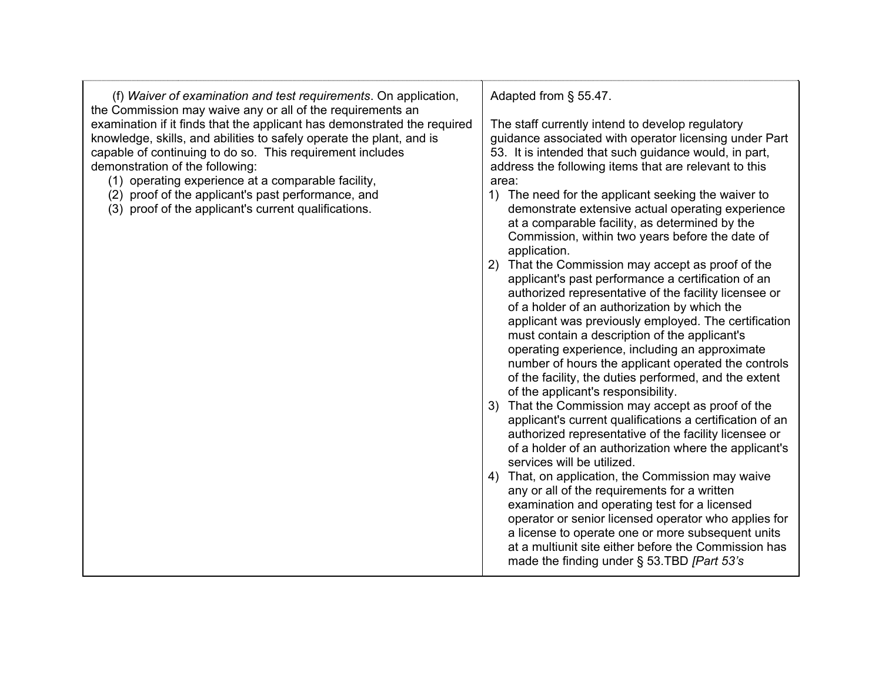| (f) Waiver of examination and test requirements. On application,<br>the Commission may waive any or all of the requirements an                                                                                                                                                                                                                                                                                       | Adapted from § 55.47.                                                                                                                                                                                                                                                                                                                                                                                                                                                                                                                                                                                                                                                                                                                                                                              |
|----------------------------------------------------------------------------------------------------------------------------------------------------------------------------------------------------------------------------------------------------------------------------------------------------------------------------------------------------------------------------------------------------------------------|----------------------------------------------------------------------------------------------------------------------------------------------------------------------------------------------------------------------------------------------------------------------------------------------------------------------------------------------------------------------------------------------------------------------------------------------------------------------------------------------------------------------------------------------------------------------------------------------------------------------------------------------------------------------------------------------------------------------------------------------------------------------------------------------------|
| examination if it finds that the applicant has demonstrated the required<br>knowledge, skills, and abilities to safely operate the plant, and is<br>capable of continuing to do so. This requirement includes<br>demonstration of the following:<br>(1) operating experience at a comparable facility,<br>(2) proof of the applicant's past performance, and<br>(3) proof of the applicant's current qualifications. | The staff currently intend to develop regulatory<br>guidance associated with operator licensing under Part<br>53. It is intended that such guidance would, in part,<br>address the following items that are relevant to this<br>area:<br>1) The need for the applicant seeking the waiver to<br>demonstrate extensive actual operating experience<br>at a comparable facility, as determined by the<br>Commission, within two years before the date of<br>application.                                                                                                                                                                                                                                                                                                                             |
|                                                                                                                                                                                                                                                                                                                                                                                                                      | 2) That the Commission may accept as proof of the<br>applicant's past performance a certification of an<br>authorized representative of the facility licensee or<br>of a holder of an authorization by which the<br>applicant was previously employed. The certification<br>must contain a description of the applicant's<br>operating experience, including an approximate<br>number of hours the applicant operated the controls<br>of the facility, the duties performed, and the extent<br>of the applicant's responsibility.<br>3) That the Commission may accept as proof of the<br>applicant's current qualifications a certification of an<br>authorized representative of the facility licensee or<br>of a holder of an authorization where the applicant's<br>services will be utilized. |
|                                                                                                                                                                                                                                                                                                                                                                                                                      | 4) That, on application, the Commission may waive<br>any or all of the requirements for a written<br>examination and operating test for a licensed<br>operator or senior licensed operator who applies for<br>a license to operate one or more subsequent units<br>at a multiunit site either before the Commission has<br>made the finding under § 53.TBD [Part 53's                                                                                                                                                                                                                                                                                                                                                                                                                              |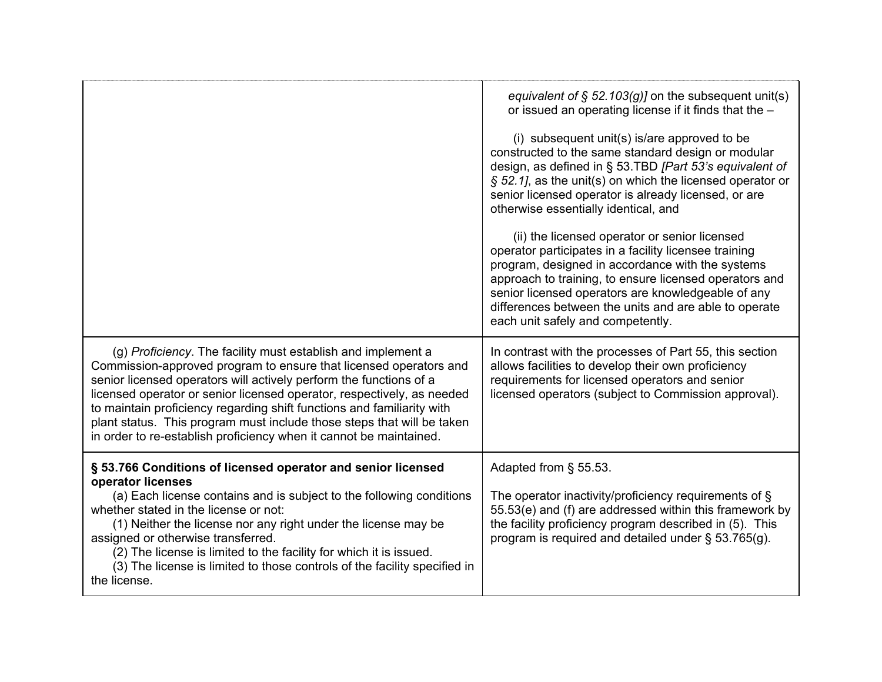|                                                                                                                                                                                                                                                                                                                                                                                                                                                                                                             | equivalent of § 52.103(g)] on the subsequent unit(s)<br>or issued an operating license if it finds that the -<br>(i) subsequent unit(s) is/are approved to be<br>constructed to the same standard design or modular<br>design, as defined in § 53.TBD [Part 53's equivalent of<br>$\S$ 52.1], as the unit(s) on which the licensed operator or<br>senior licensed operator is already licensed, or are<br>otherwise essentially identical, and<br>(ii) the licensed operator or senior licensed<br>operator participates in a facility licensee training<br>program, designed in accordance with the systems<br>approach to training, to ensure licensed operators and<br>senior licensed operators are knowledgeable of any<br>differences between the units and are able to operate<br>each unit safely and competently. |
|-------------------------------------------------------------------------------------------------------------------------------------------------------------------------------------------------------------------------------------------------------------------------------------------------------------------------------------------------------------------------------------------------------------------------------------------------------------------------------------------------------------|----------------------------------------------------------------------------------------------------------------------------------------------------------------------------------------------------------------------------------------------------------------------------------------------------------------------------------------------------------------------------------------------------------------------------------------------------------------------------------------------------------------------------------------------------------------------------------------------------------------------------------------------------------------------------------------------------------------------------------------------------------------------------------------------------------------------------|
| (g) Proficiency. The facility must establish and implement a<br>Commission-approved program to ensure that licensed operators and<br>senior licensed operators will actively perform the functions of a<br>licensed operator or senior licensed operator, respectively, as needed<br>to maintain proficiency regarding shift functions and familiarity with<br>plant status. This program must include those steps that will be taken<br>in order to re-establish proficiency when it cannot be maintained. | In contrast with the processes of Part 55, this section<br>allows facilities to develop their own proficiency<br>requirements for licensed operators and senior<br>licensed operators (subject to Commission approval).                                                                                                                                                                                                                                                                                                                                                                                                                                                                                                                                                                                                    |
| § 53.766 Conditions of licensed operator and senior licensed<br>operator licenses<br>(a) Each license contains and is subject to the following conditions<br>whether stated in the license or not:<br>(1) Neither the license nor any right under the license may be<br>assigned or otherwise transferred.<br>(2) The license is limited to the facility for which it is issued.<br>(3) The license is limited to those controls of the facility specified in<br>the license.                               | Adapted from § 55.53.<br>The operator inactivity/proficiency requirements of $\S$<br>55.53(e) and (f) are addressed within this framework by<br>the facility proficiency program described in (5). This<br>program is required and detailed under § 53.765(g).                                                                                                                                                                                                                                                                                                                                                                                                                                                                                                                                                             |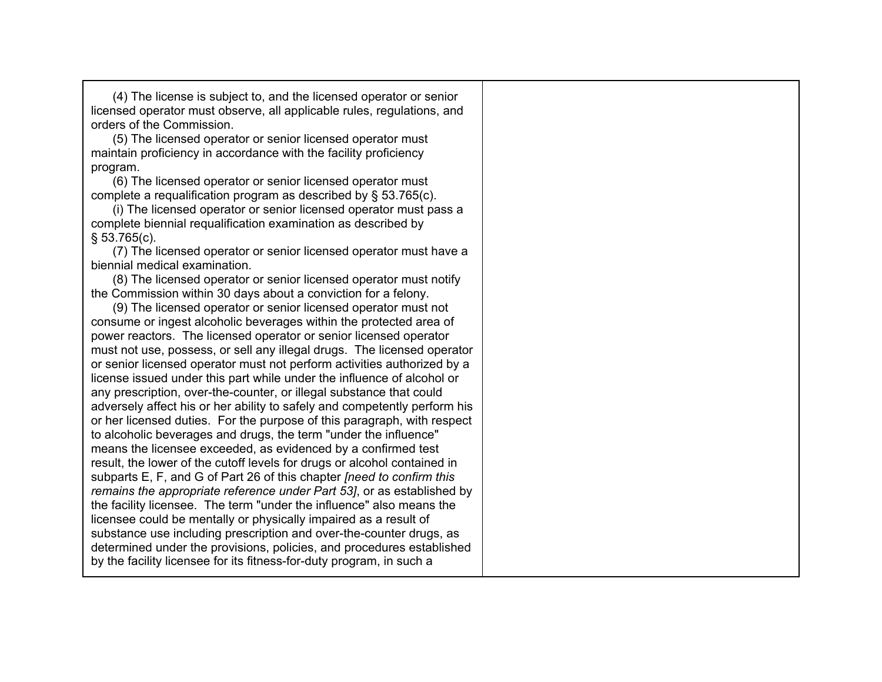(4) The license is subject to, and the licensed operator or senior licensed operator must observe, all applicable rules, regulations, and orders of the Commission.

(5) The licensed operator or senior licensed operator must maintain proficiency in accordance with the facility proficiency program.

(6) The licensed operator or senior licensed operator must complete a requalification program as described by § 53.765(c).

(i) The licensed operator or senior licensed operator must pass a complete biennial requalification examination as described by § 53.765(c).

(7) The licensed operator or senior licensed operator must have a biennial medical examination.

(8) The licensed operator or senior licensed operator must notify the Commission within 30 days about a conviction for a felony.

(9) The licensed operator or senior licensed operator must not consume or ingest alcoholic beverages within the protected area of power reactors. The licensed operator or senior licensed operator must not use, possess, or sell any illegal drugs. The licensed operator or senior licensed operator must not perform activities authorized by a license issued under this part while under the influence of alcohol or any prescription, over-the-counter, or illegal substance that could adversely affect his or her ability to safely and competently perform his or her licensed duties. For the purpose of this paragraph, with respect to alcoholic beverages and drugs, the term "under the influence" means the licensee exceeded, as evidenced by a confirmed test result, the lower of the cutoff levels for drugs or alcohol contained in subparts E, F, and G of Part 26 of this chapter *[need to confirm this remains the appropriate reference under Part 53]*, or as established by the facility licensee. The term "under the influence" also means the licensee could be mentally or physically impaired as a result of substance use including prescription and over-the-counter drugs, as determined under the provisions, policies, and procedures established by the facility licensee for its fitness-for-duty program, in such a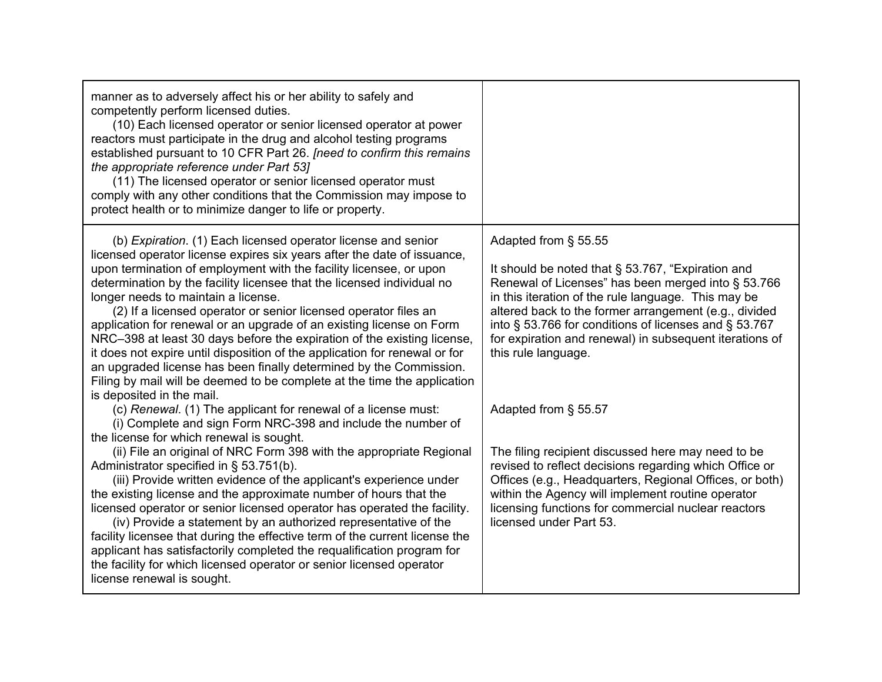| manner as to adversely affect his or her ability to safely and<br>competently perform licensed duties.<br>(10) Each licensed operator or senior licensed operator at power<br>reactors must participate in the drug and alcohol testing programs<br>established pursuant to 10 CFR Part 26. [need to confirm this remains<br>the appropriate reference under Part 53]<br>(11) The licensed operator or senior licensed operator must<br>comply with any other conditions that the Commission may impose to<br>protect health or to minimize danger to life or property.                                                                                                                                                                                                                                                                                                           |                                                                                                                                                                                                                                                                                                                                                                                            |
|-----------------------------------------------------------------------------------------------------------------------------------------------------------------------------------------------------------------------------------------------------------------------------------------------------------------------------------------------------------------------------------------------------------------------------------------------------------------------------------------------------------------------------------------------------------------------------------------------------------------------------------------------------------------------------------------------------------------------------------------------------------------------------------------------------------------------------------------------------------------------------------|--------------------------------------------------------------------------------------------------------------------------------------------------------------------------------------------------------------------------------------------------------------------------------------------------------------------------------------------------------------------------------------------|
| (b) Expiration. (1) Each licensed operator license and senior<br>licensed operator license expires six years after the date of issuance,<br>upon termination of employment with the facility licensee, or upon<br>determination by the facility licensee that the licensed individual no<br>longer needs to maintain a license.<br>(2) If a licensed operator or senior licensed operator files an<br>application for renewal or an upgrade of an existing license on Form<br>NRC-398 at least 30 days before the expiration of the existing license,<br>it does not expire until disposition of the application for renewal or for<br>an upgraded license has been finally determined by the Commission.<br>Filing by mail will be deemed to be complete at the time the application                                                                                             | Adapted from § 55.55<br>It should be noted that § 53.767, "Expiration and<br>Renewal of Licenses" has been merged into § 53.766<br>in this iteration of the rule language. This may be<br>altered back to the former arrangement (e.g., divided<br>into § 53.766 for conditions of licenses and § 53.767<br>for expiration and renewal) in subsequent iterations of<br>this rule language. |
| is deposited in the mail.<br>(c) Renewal. (1) The applicant for renewal of a license must:<br>(i) Complete and sign Form NRC-398 and include the number of<br>the license for which renewal is sought.<br>(ii) File an original of NRC Form 398 with the appropriate Regional<br>Administrator specified in § 53.751(b).<br>(iii) Provide written evidence of the applicant's experience under<br>the existing license and the approximate number of hours that the<br>licensed operator or senior licensed operator has operated the facility.<br>(iv) Provide a statement by an authorized representative of the<br>facility licensee that during the effective term of the current license the<br>applicant has satisfactorily completed the requalification program for<br>the facility for which licensed operator or senior licensed operator<br>license renewal is sought. | Adapted from § 55.57<br>The filing recipient discussed here may need to be<br>revised to reflect decisions regarding which Office or<br>Offices (e.g., Headquarters, Regional Offices, or both)<br>within the Agency will implement routine operator<br>licensing functions for commercial nuclear reactors<br>licensed under Part 53.                                                     |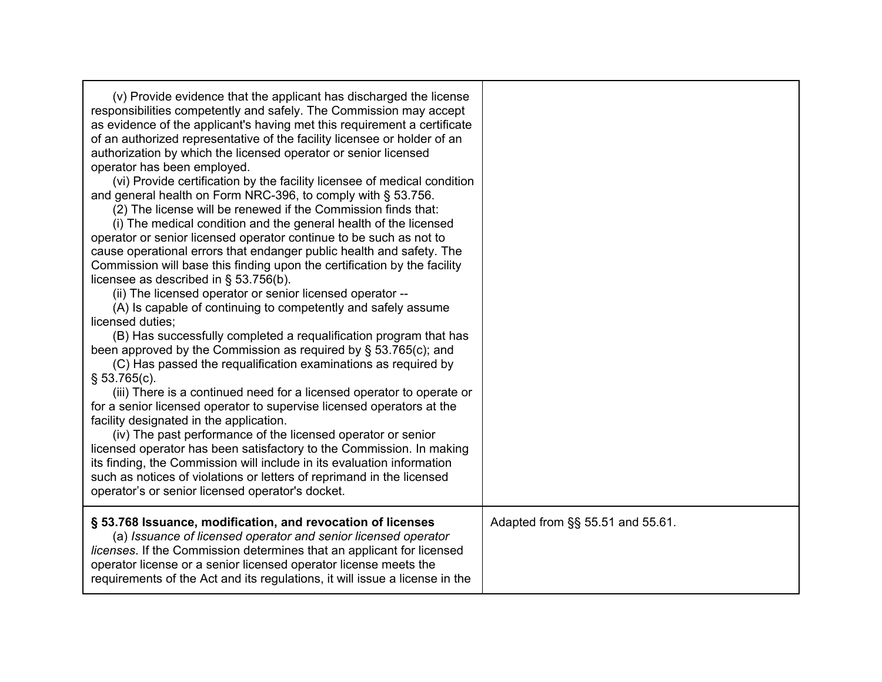| (v) Provide evidence that the applicant has discharged the license<br>responsibilities competently and safely. The Commission may accept<br>as evidence of the applicant's having met this requirement a certificate<br>of an authorized representative of the facility licensee or holder of an<br>authorization by which the licensed operator or senior licensed<br>operator has been employed.<br>(vi) Provide certification by the facility licensee of medical condition<br>and general health on Form NRC-396, to comply with § 53.756.<br>(2) The license will be renewed if the Commission finds that:<br>(i) The medical condition and the general health of the licensed<br>operator or senior licensed operator continue to be such as not to<br>cause operational errors that endanger public health and safety. The<br>Commission will base this finding upon the certification by the facility<br>licensee as described in $\S$ 53.756(b).<br>(ii) The licensed operator or senior licensed operator --<br>(A) Is capable of continuing to competently and safely assume<br>licensed duties;<br>(B) Has successfully completed a requalification program that has<br>been approved by the Commission as required by § 53.765(c); and<br>(C) Has passed the requalification examinations as required by<br>$$53.765(c)$ .<br>(iii) There is a continued need for a licensed operator to operate or<br>for a senior licensed operator to supervise licensed operators at the<br>facility designated in the application.<br>(iv) The past performance of the licensed operator or senior<br>licensed operator has been satisfactory to the Commission. In making<br>its finding, the Commission will include in its evaluation information<br>such as notices of violations or letters of reprimand in the licensed<br>operator's or senior licensed operator's docket. |                                  |
|-------------------------------------------------------------------------------------------------------------------------------------------------------------------------------------------------------------------------------------------------------------------------------------------------------------------------------------------------------------------------------------------------------------------------------------------------------------------------------------------------------------------------------------------------------------------------------------------------------------------------------------------------------------------------------------------------------------------------------------------------------------------------------------------------------------------------------------------------------------------------------------------------------------------------------------------------------------------------------------------------------------------------------------------------------------------------------------------------------------------------------------------------------------------------------------------------------------------------------------------------------------------------------------------------------------------------------------------------------------------------------------------------------------------------------------------------------------------------------------------------------------------------------------------------------------------------------------------------------------------------------------------------------------------------------------------------------------------------------------------------------------------------------------------------------------------------------------------------------------------------------------|----------------------------------|
| § 53.768 Issuance, modification, and revocation of licenses<br>(a) Issuance of licensed operator and senior licensed operator<br>licenses. If the Commission determines that an applicant for licensed<br>operator license or a senior licensed operator license meets the<br>requirements of the Act and its regulations, it will issue a license in the                                                                                                                                                                                                                                                                                                                                                                                                                                                                                                                                                                                                                                                                                                                                                                                                                                                                                                                                                                                                                                                                                                                                                                                                                                                                                                                                                                                                                                                                                                                           | Adapted from §§ 55.51 and 55.61. |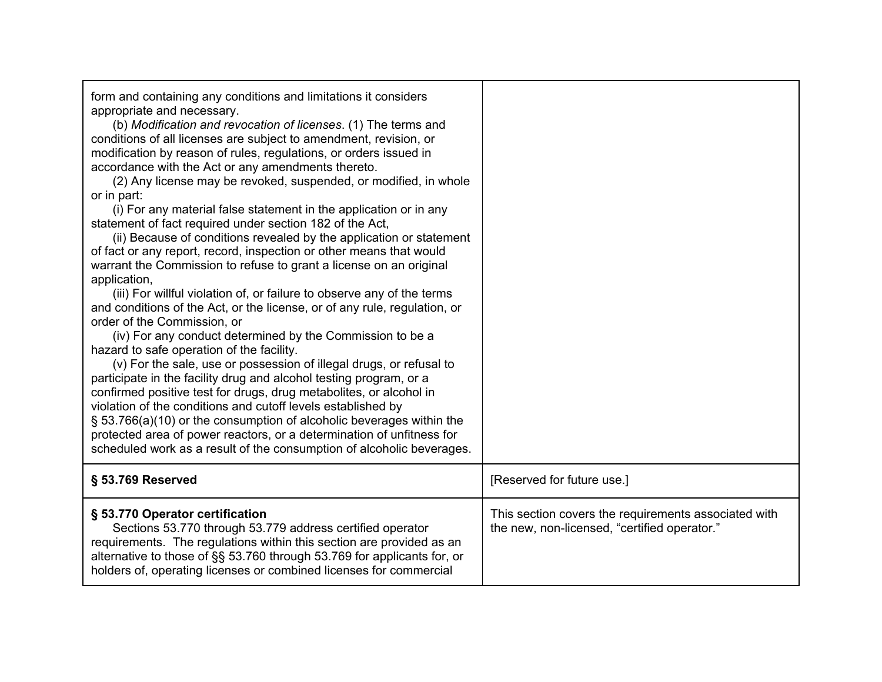| form and containing any conditions and limitations it considers<br>appropriate and necessary.<br>(b) Modification and revocation of licenses. (1) The terms and<br>conditions of all licenses are subject to amendment, revision, or<br>modification by reason of rules, regulations, or orders issued in<br>accordance with the Act or any amendments thereto.<br>(2) Any license may be revoked, suspended, or modified, in whole<br>or in part:<br>(i) For any material false statement in the application or in any<br>statement of fact required under section 182 of the Act,<br>(ii) Because of conditions revealed by the application or statement<br>of fact or any report, record, inspection or other means that would<br>warrant the Commission to refuse to grant a license on an original<br>application,<br>(iii) For willful violation of, or failure to observe any of the terms<br>and conditions of the Act, or the license, or of any rule, regulation, or<br>order of the Commission, or<br>(iv) For any conduct determined by the Commission to be a<br>hazard to safe operation of the facility.<br>(v) For the sale, use or possession of illegal drugs, or refusal to<br>participate in the facility drug and alcohol testing program, or a<br>confirmed positive test for drugs, drug metabolites, or alcohol in<br>violation of the conditions and cutoff levels established by<br>§ 53.766(a)(10) or the consumption of alcoholic beverages within the<br>protected area of power reactors, or a determination of unfitness for<br>scheduled work as a result of the consumption of alcoholic beverages. |                                                                                                      |
|--------------------------------------------------------------------------------------------------------------------------------------------------------------------------------------------------------------------------------------------------------------------------------------------------------------------------------------------------------------------------------------------------------------------------------------------------------------------------------------------------------------------------------------------------------------------------------------------------------------------------------------------------------------------------------------------------------------------------------------------------------------------------------------------------------------------------------------------------------------------------------------------------------------------------------------------------------------------------------------------------------------------------------------------------------------------------------------------------------------------------------------------------------------------------------------------------------------------------------------------------------------------------------------------------------------------------------------------------------------------------------------------------------------------------------------------------------------------------------------------------------------------------------------------------------------------------------------------------------------------------------------|------------------------------------------------------------------------------------------------------|
| § 53.769 Reserved                                                                                                                                                                                                                                                                                                                                                                                                                                                                                                                                                                                                                                                                                                                                                                                                                                                                                                                                                                                                                                                                                                                                                                                                                                                                                                                                                                                                                                                                                                                                                                                                                    | [Reserved for future use.]                                                                           |
| § 53.770 Operator certification<br>Sections 53.770 through 53.779 address certified operator<br>requirements. The regulations within this section are provided as an<br>alternative to those of §§ 53.760 through 53.769 for applicants for, or<br>holders of, operating licenses or combined licenses for commercial                                                                                                                                                                                                                                                                                                                                                                                                                                                                                                                                                                                                                                                                                                                                                                                                                                                                                                                                                                                                                                                                                                                                                                                                                                                                                                                | This section covers the requirements associated with<br>the new, non-licensed, "certified operator." |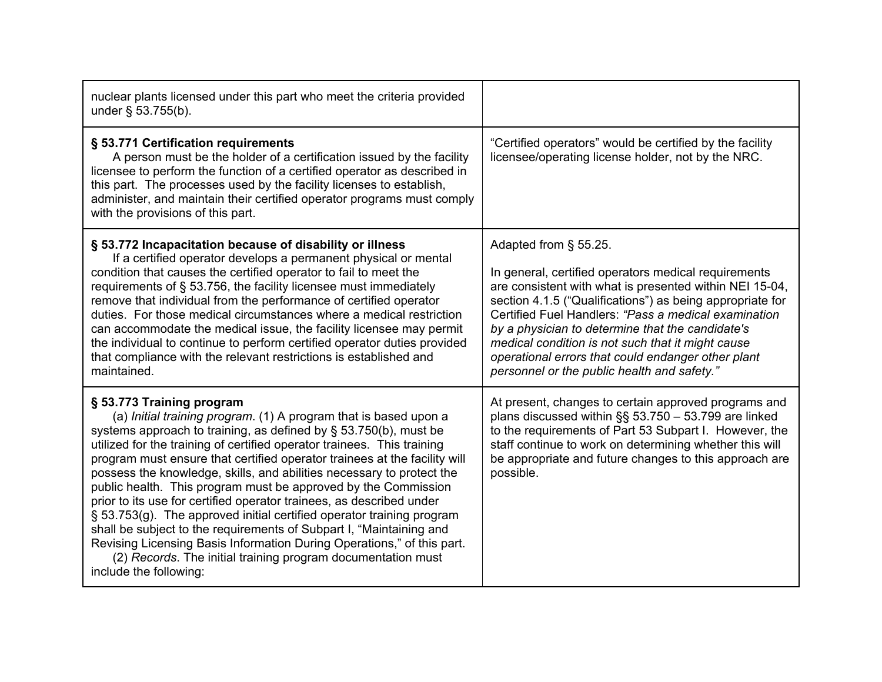| nuclear plants licensed under this part who meet the criteria provided<br>under § 53.755(b).                                                                                                                                                                                                                                                                                                                                                                                                                                                                                                                                                                                                                                                                                                                                                                        |                                                                                                                                                                                                                                                                                                                                                                                                                                                                             |
|---------------------------------------------------------------------------------------------------------------------------------------------------------------------------------------------------------------------------------------------------------------------------------------------------------------------------------------------------------------------------------------------------------------------------------------------------------------------------------------------------------------------------------------------------------------------------------------------------------------------------------------------------------------------------------------------------------------------------------------------------------------------------------------------------------------------------------------------------------------------|-----------------------------------------------------------------------------------------------------------------------------------------------------------------------------------------------------------------------------------------------------------------------------------------------------------------------------------------------------------------------------------------------------------------------------------------------------------------------------|
| § 53.771 Certification requirements<br>A person must be the holder of a certification issued by the facility<br>licensee to perform the function of a certified operator as described in<br>this part. The processes used by the facility licenses to establish,<br>administer, and maintain their certified operator programs must comply<br>with the provisions of this part.                                                                                                                                                                                                                                                                                                                                                                                                                                                                                     | "Certified operators" would be certified by the facility<br>licensee/operating license holder, not by the NRC.                                                                                                                                                                                                                                                                                                                                                              |
| § 53.772 Incapacitation because of disability or illness<br>If a certified operator develops a permanent physical or mental<br>condition that causes the certified operator to fail to meet the<br>requirements of § 53.756, the facility licensee must immediately<br>remove that individual from the performance of certified operator<br>duties. For those medical circumstances where a medical restriction<br>can accommodate the medical issue, the facility licensee may permit<br>the individual to continue to perform certified operator duties provided<br>that compliance with the relevant restrictions is established and<br>maintained.                                                                                                                                                                                                              | Adapted from § 55.25.<br>In general, certified operators medical requirements<br>are consistent with what is presented within NEI 15-04,<br>section 4.1.5 ("Qualifications") as being appropriate for<br>Certified Fuel Handlers: "Pass a medical examination<br>by a physician to determine that the candidate's<br>medical condition is not such that it might cause<br>operational errors that could endanger other plant<br>personnel or the public health and safety." |
| § 53.773 Training program<br>(a) Initial training program. (1) A program that is based upon a<br>systems approach to training, as defined by $\S$ 53.750(b), must be<br>utilized for the training of certified operator trainees. This training<br>program must ensure that certified operator trainees at the facility will<br>possess the knowledge, skills, and abilities necessary to protect the<br>public health. This program must be approved by the Commission<br>prior to its use for certified operator trainees, as described under<br>§ 53.753(g). The approved initial certified operator training program<br>shall be subject to the requirements of Subpart I, "Maintaining and<br>Revising Licensing Basis Information During Operations," of this part.<br>(2) Records. The initial training program documentation must<br>include the following: | At present, changes to certain approved programs and<br>plans discussed within §§ 53.750 - 53.799 are linked<br>to the requirements of Part 53 Subpart I. However, the<br>staff continue to work on determining whether this will<br>be appropriate and future changes to this approach are<br>possible.                                                                                                                                                                    |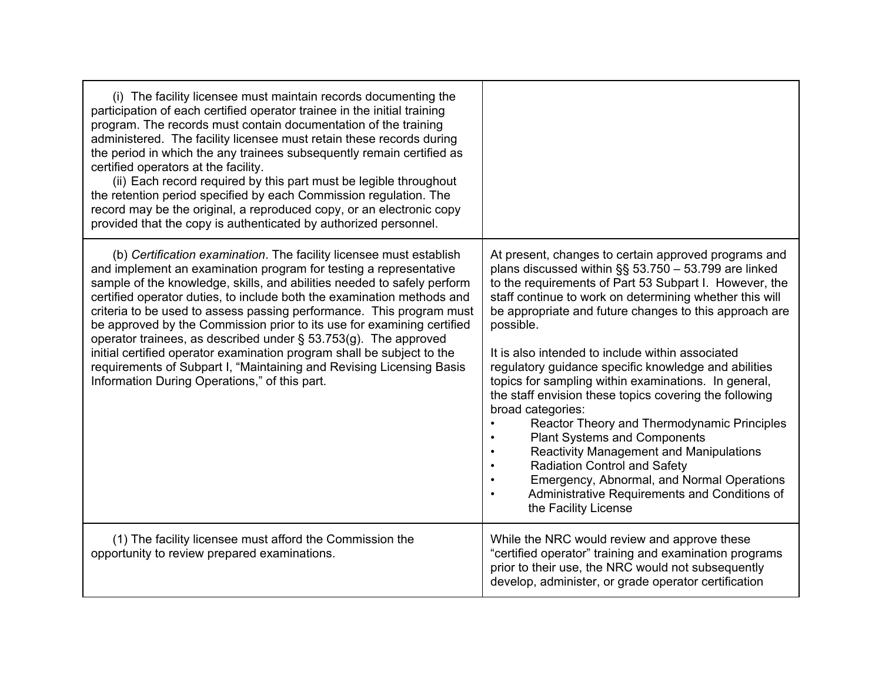| (i) The facility licensee must maintain records documenting the<br>participation of each certified operator trainee in the initial training<br>program. The records must contain documentation of the training<br>administered. The facility licensee must retain these records during<br>the period in which the any trainees subsequently remain certified as<br>certified operators at the facility.<br>(ii) Each record required by this part must be legible throughout<br>the retention period specified by each Commission regulation. The<br>record may be the original, a reproduced copy, or an electronic copy<br>provided that the copy is authenticated by authorized personnel.                            |                                                                                                                                                                                                                                                                                                                                                                                                                                                                                                                                                                                                                                                                                                                                                                                                                                                                       |
|--------------------------------------------------------------------------------------------------------------------------------------------------------------------------------------------------------------------------------------------------------------------------------------------------------------------------------------------------------------------------------------------------------------------------------------------------------------------------------------------------------------------------------------------------------------------------------------------------------------------------------------------------------------------------------------------------------------------------|-----------------------------------------------------------------------------------------------------------------------------------------------------------------------------------------------------------------------------------------------------------------------------------------------------------------------------------------------------------------------------------------------------------------------------------------------------------------------------------------------------------------------------------------------------------------------------------------------------------------------------------------------------------------------------------------------------------------------------------------------------------------------------------------------------------------------------------------------------------------------|
| (b) Certification examination. The facility licensee must establish<br>and implement an examination program for testing a representative<br>sample of the knowledge, skills, and abilities needed to safely perform<br>certified operator duties, to include both the examination methods and<br>criteria to be used to assess passing performance. This program must<br>be approved by the Commission prior to its use for examining certified<br>operator trainees, as described under $\S$ 53.753(g). The approved<br>initial certified operator examination program shall be subject to the<br>requirements of Subpart I, "Maintaining and Revising Licensing Basis<br>Information During Operations," of this part. | At present, changes to certain approved programs and<br>plans discussed within $\S$ § 53.750 - 53.799 are linked<br>to the requirements of Part 53 Subpart I. However, the<br>staff continue to work on determining whether this will<br>be appropriate and future changes to this approach are<br>possible.<br>It is also intended to include within associated<br>regulatory guidance specific knowledge and abilities<br>topics for sampling within examinations. In general,<br>the staff envision these topics covering the following<br>broad categories:<br>Reactor Theory and Thermodynamic Principles<br><b>Plant Systems and Components</b><br><b>Reactivity Management and Manipulations</b><br><b>Radiation Control and Safety</b><br>Emergency, Abnormal, and Normal Operations<br>Administrative Requirements and Conditions of<br>the Facility License |
| (1) The facility licensee must afford the Commission the<br>opportunity to review prepared examinations.                                                                                                                                                                                                                                                                                                                                                                                                                                                                                                                                                                                                                 | While the NRC would review and approve these<br>"certified operator" training and examination programs<br>prior to their use, the NRC would not subsequently<br>develop, administer, or grade operator certification                                                                                                                                                                                                                                                                                                                                                                                                                                                                                                                                                                                                                                                  |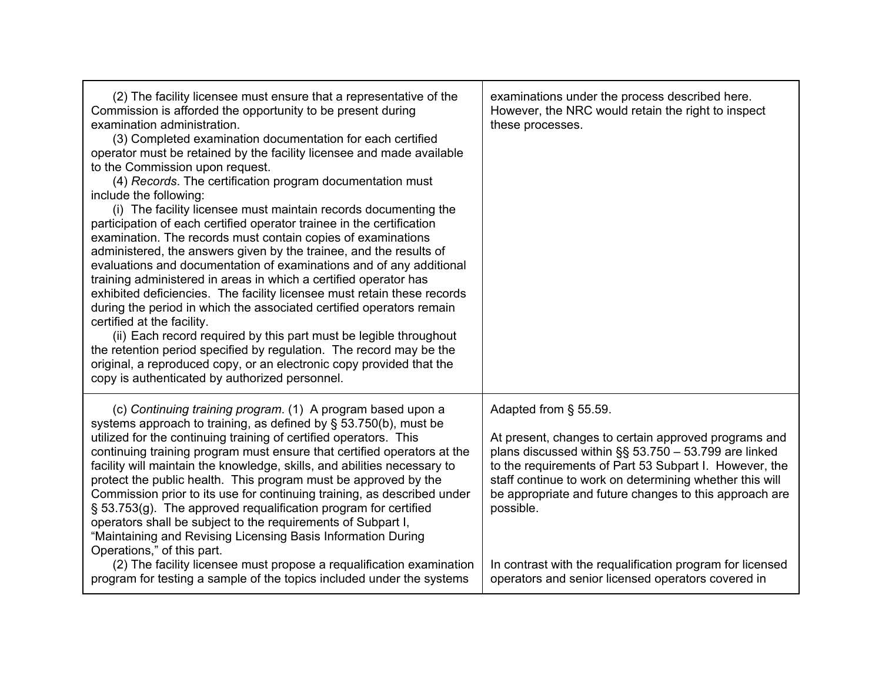| (2) The facility licensee must ensure that a representative of the<br>Commission is afforded the opportunity to be present during<br>examination administration.<br>(3) Completed examination documentation for each certified<br>operator must be retained by the facility licensee and made available<br>to the Commission upon request.<br>(4) Records. The certification program documentation must<br>include the following:<br>(i) The facility licensee must maintain records documenting the<br>participation of each certified operator trainee in the certification<br>examination. The records must contain copies of examinations<br>administered, the answers given by the trainee, and the results of<br>evaluations and documentation of examinations and of any additional<br>training administered in areas in which a certified operator has<br>exhibited deficiencies. The facility licensee must retain these records<br>during the period in which the associated certified operators remain<br>certified at the facility.<br>(ii) Each record required by this part must be legible throughout<br>the retention period specified by regulation. The record may be the<br>original, a reproduced copy, or an electronic copy provided that the<br>copy is authenticated by authorized personnel. | examinations under the process described here.<br>However, the NRC would retain the right to inspect<br>these processes.                                                                                                                                                                                                                                                                                                                             |
|-----------------------------------------------------------------------------------------------------------------------------------------------------------------------------------------------------------------------------------------------------------------------------------------------------------------------------------------------------------------------------------------------------------------------------------------------------------------------------------------------------------------------------------------------------------------------------------------------------------------------------------------------------------------------------------------------------------------------------------------------------------------------------------------------------------------------------------------------------------------------------------------------------------------------------------------------------------------------------------------------------------------------------------------------------------------------------------------------------------------------------------------------------------------------------------------------------------------------------------------------------------------------------------------------------------------------|------------------------------------------------------------------------------------------------------------------------------------------------------------------------------------------------------------------------------------------------------------------------------------------------------------------------------------------------------------------------------------------------------------------------------------------------------|
| (c) Continuing training program. (1) A program based upon a<br>systems approach to training, as defined by $\S$ 53.750(b), must be<br>utilized for the continuing training of certified operators. This<br>continuing training program must ensure that certified operators at the<br>facility will maintain the knowledge, skills, and abilities necessary to<br>protect the public health. This program must be approved by the<br>Commission prior to its use for continuing training, as described under<br>§ 53.753(g). The approved requalification program for certified<br>operators shall be subject to the requirements of Subpart I,<br>"Maintaining and Revising Licensing Basis Information During<br>Operations," of this part.<br>(2) The facility licensee must propose a requalification examination<br>program for testing a sample of the topics included under the systems                                                                                                                                                                                                                                                                                                                                                                                                                        | Adapted from § 55.59.<br>At present, changes to certain approved programs and<br>plans discussed within §§ 53.750 - 53.799 are linked<br>to the requirements of Part 53 Subpart I. However, the<br>staff continue to work on determining whether this will<br>be appropriate and future changes to this approach are<br>possible.<br>In contrast with the requalification program for licensed<br>operators and senior licensed operators covered in |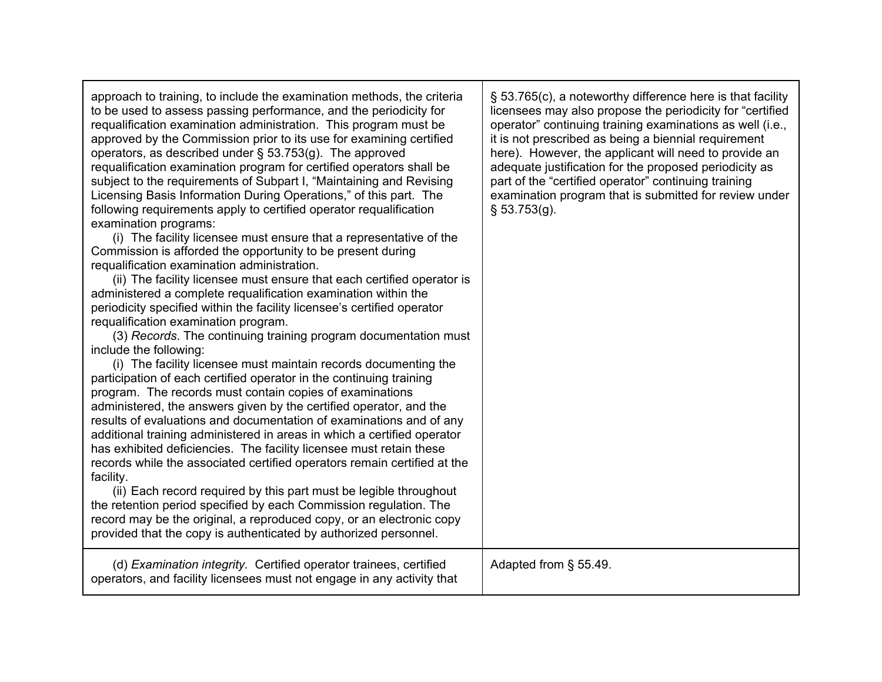| approach to training, to include the examination methods, the criteria<br>to be used to assess passing performance, and the periodicity for<br>requalification examination administration. This program must be<br>approved by the Commission prior to its use for examining certified<br>operators, as described under $\S$ 53.753(g). The approved<br>requalification examination program for certified operators shall be<br>subject to the requirements of Subpart I, "Maintaining and Revising<br>Licensing Basis Information During Operations," of this part. The<br>following requirements apply to certified operator requalification<br>examination programs:<br>(i) The facility licensee must ensure that a representative of the<br>Commission is afforded the opportunity to be present during<br>requalification examination administration.<br>(ii) The facility licensee must ensure that each certified operator is<br>administered a complete requalification examination within the<br>periodicity specified within the facility licensee's certified operator<br>requalification examination program.<br>(3) Records. The continuing training program documentation must<br>include the following:<br>(i) The facility licensee must maintain records documenting the<br>participation of each certified operator in the continuing training<br>program. The records must contain copies of examinations<br>administered, the answers given by the certified operator, and the<br>results of evaluations and documentation of examinations and of any<br>additional training administered in areas in which a certified operator<br>has exhibited deficiencies. The facility licensee must retain these<br>records while the associated certified operators remain certified at the<br>facility.<br>(ii) Each record required by this part must be legible throughout<br>the retention period specified by each Commission regulation. The<br>record may be the original, a reproduced copy, or an electronic copy<br>provided that the copy is authenticated by authorized personnel. | § 53.765(c), a noteworthy difference here is that facility<br>licensees may also propose the periodicity for "certified<br>operator" continuing training examinations as well (i.e.,<br>it is not prescribed as being a biennial requirement<br>here). However, the applicant will need to provide an<br>adequate justification for the proposed periodicity as<br>part of the "certified operator" continuing training<br>examination program that is submitted for review under<br>$§$ 53.753(g). |
|-------------------------------------------------------------------------------------------------------------------------------------------------------------------------------------------------------------------------------------------------------------------------------------------------------------------------------------------------------------------------------------------------------------------------------------------------------------------------------------------------------------------------------------------------------------------------------------------------------------------------------------------------------------------------------------------------------------------------------------------------------------------------------------------------------------------------------------------------------------------------------------------------------------------------------------------------------------------------------------------------------------------------------------------------------------------------------------------------------------------------------------------------------------------------------------------------------------------------------------------------------------------------------------------------------------------------------------------------------------------------------------------------------------------------------------------------------------------------------------------------------------------------------------------------------------------------------------------------------------------------------------------------------------------------------------------------------------------------------------------------------------------------------------------------------------------------------------------------------------------------------------------------------------------------------------------------------------------------------------------------------------------------------------------------------------------------------------------------------------|-----------------------------------------------------------------------------------------------------------------------------------------------------------------------------------------------------------------------------------------------------------------------------------------------------------------------------------------------------------------------------------------------------------------------------------------------------------------------------------------------------|
| (d) Examination integrity. Certified operator trainees, certified<br>operators, and facility licensees must not engage in any activity that                                                                                                                                                                                                                                                                                                                                                                                                                                                                                                                                                                                                                                                                                                                                                                                                                                                                                                                                                                                                                                                                                                                                                                                                                                                                                                                                                                                                                                                                                                                                                                                                                                                                                                                                                                                                                                                                                                                                                                 | Adapted from § 55.49.                                                                                                                                                                                                                                                                                                                                                                                                                                                                               |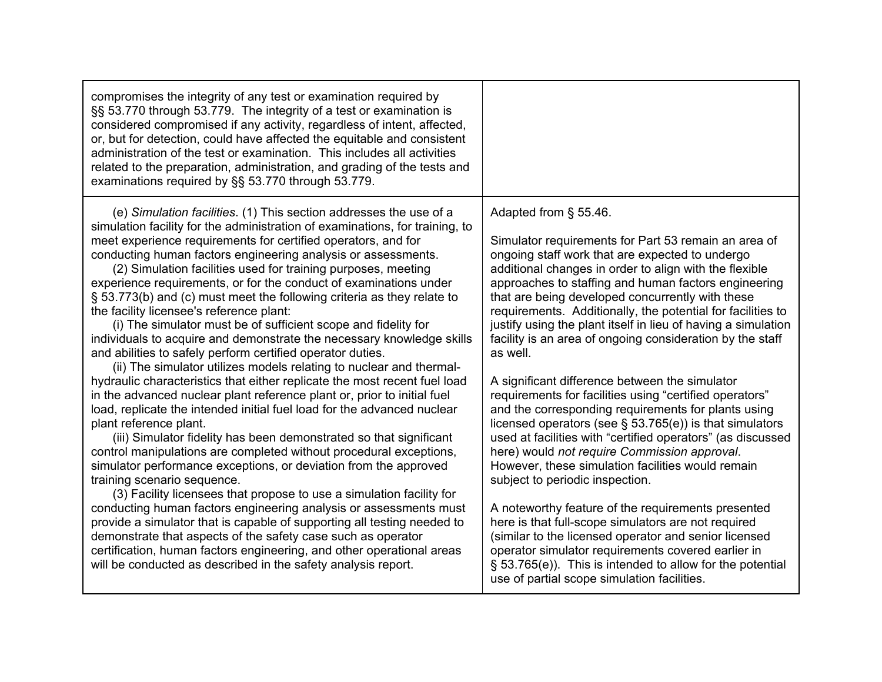| compromises the integrity of any test or examination required by<br>§§ 53.770 through 53.779. The integrity of a test or examination is<br>considered compromised if any activity, regardless of intent, affected,<br>or, but for detection, could have affected the equitable and consistent<br>administration of the test or examination. This includes all activities<br>related to the preparation, administration, and grading of the tests and<br>examinations required by §§ 53.770 through 53.779.                                                                                                                                                                                                                                                                                                                                                                                                                                                                                                                                                                                                                                                                                                                                                                                                                                                                                                                                                                                                                                                                                                                                                                                                                                                                     |                                                                                                                                                                                                                                                                                                                                                                                                                                                                                                                                                                                                                                                                                                                                                                                                                                                                                                                                                                                                                                                                                                                                                                                                                                                                                                  |
|--------------------------------------------------------------------------------------------------------------------------------------------------------------------------------------------------------------------------------------------------------------------------------------------------------------------------------------------------------------------------------------------------------------------------------------------------------------------------------------------------------------------------------------------------------------------------------------------------------------------------------------------------------------------------------------------------------------------------------------------------------------------------------------------------------------------------------------------------------------------------------------------------------------------------------------------------------------------------------------------------------------------------------------------------------------------------------------------------------------------------------------------------------------------------------------------------------------------------------------------------------------------------------------------------------------------------------------------------------------------------------------------------------------------------------------------------------------------------------------------------------------------------------------------------------------------------------------------------------------------------------------------------------------------------------------------------------------------------------------------------------------------------------|--------------------------------------------------------------------------------------------------------------------------------------------------------------------------------------------------------------------------------------------------------------------------------------------------------------------------------------------------------------------------------------------------------------------------------------------------------------------------------------------------------------------------------------------------------------------------------------------------------------------------------------------------------------------------------------------------------------------------------------------------------------------------------------------------------------------------------------------------------------------------------------------------------------------------------------------------------------------------------------------------------------------------------------------------------------------------------------------------------------------------------------------------------------------------------------------------------------------------------------------------------------------------------------------------|
| (e) Simulation facilities. (1) This section addresses the use of a<br>simulation facility for the administration of examinations, for training, to<br>meet experience requirements for certified operators, and for<br>conducting human factors engineering analysis or assessments.<br>(2) Simulation facilities used for training purposes, meeting<br>experience requirements, or for the conduct of examinations under<br>§ 53.773(b) and (c) must meet the following criteria as they relate to<br>the facility licensee's reference plant:<br>(i) The simulator must be of sufficient scope and fidelity for<br>individuals to acquire and demonstrate the necessary knowledge skills<br>and abilities to safely perform certified operator duties.<br>(ii) The simulator utilizes models relating to nuclear and thermal-<br>hydraulic characteristics that either replicate the most recent fuel load<br>in the advanced nuclear plant reference plant or, prior to initial fuel<br>load, replicate the intended initial fuel load for the advanced nuclear<br>plant reference plant.<br>(iii) Simulator fidelity has been demonstrated so that significant<br>control manipulations are completed without procedural exceptions,<br>simulator performance exceptions, or deviation from the approved<br>training scenario sequence.<br>(3) Facility licensees that propose to use a simulation facility for<br>conducting human factors engineering analysis or assessments must<br>provide a simulator that is capable of supporting all testing needed to<br>demonstrate that aspects of the safety case such as operator<br>certification, human factors engineering, and other operational areas<br>will be conducted as described in the safety analysis report. | Adapted from § 55.46.<br>Simulator requirements for Part 53 remain an area of<br>ongoing staff work that are expected to undergo<br>additional changes in order to align with the flexible<br>approaches to staffing and human factors engineering<br>that are being developed concurrently with these<br>requirements. Additionally, the potential for facilities to<br>justify using the plant itself in lieu of having a simulation<br>facility is an area of ongoing consideration by the staff<br>as well.<br>A significant difference between the simulator<br>requirements for facilities using "certified operators"<br>and the corresponding requirements for plants using<br>licensed operators (see $\S$ 53.765(e)) is that simulators<br>used at facilities with "certified operators" (as discussed<br>here) would not require Commission approval.<br>However, these simulation facilities would remain<br>subject to periodic inspection.<br>A noteworthy feature of the requirements presented<br>here is that full-scope simulators are not required<br>(similar to the licensed operator and senior licensed<br>operator simulator requirements covered earlier in<br>§ 53.765(e)). This is intended to allow for the potential<br>use of partial scope simulation facilities. |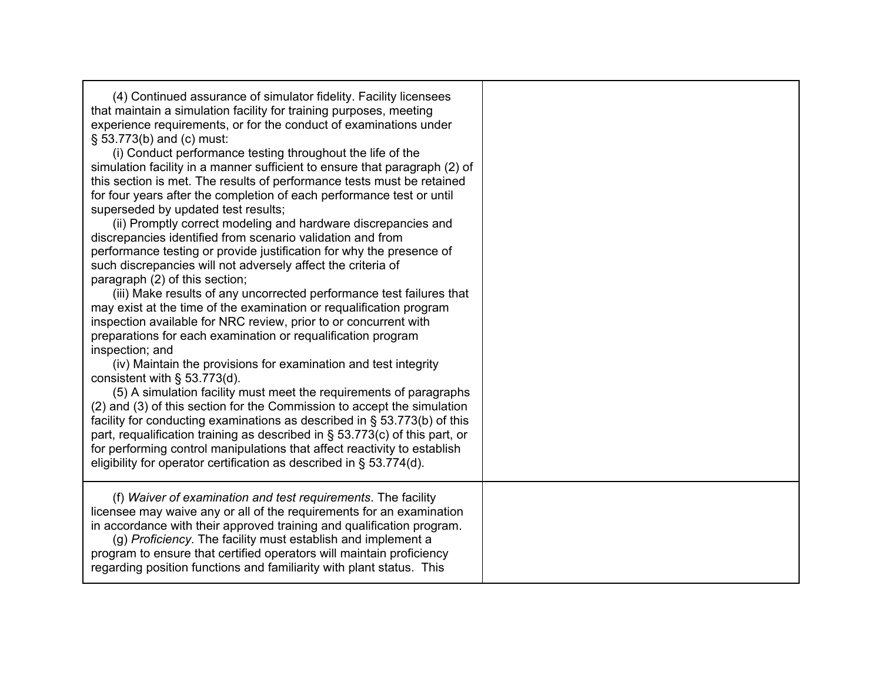| (4) Continued assurance of simulator fidelity. Facility licensees<br>that maintain a simulation facility for training purposes, meeting<br>experience requirements, or for the conduct of examinations under<br>§ 53.773(b) and (c) must:<br>(i) Conduct performance testing throughout the life of the<br>simulation facility in a manner sufficient to ensure that paragraph (2) of<br>this section is met. The results of performance tests must be retained<br>for four years after the completion of each performance test or until<br>superseded by updated test results;<br>(ii) Promptly correct modeling and hardware discrepancies and<br>discrepancies identified from scenario validation and from<br>performance testing or provide justification for why the presence of<br>such discrepancies will not adversely affect the criteria of<br>paragraph (2) of this section;<br>(iii) Make results of any uncorrected performance test failures that<br>may exist at the time of the examination or requalification program<br>inspection available for NRC review, prior to or concurrent with<br>preparations for each examination or requalification program<br>inspection; and<br>(iv) Maintain the provisions for examination and test integrity<br>consistent with $\S$ 53.773(d).<br>(5) A simulation facility must meet the requirements of paragraphs<br>(2) and (3) of this section for the Commission to accept the simulation<br>facility for conducting examinations as described in § 53.773(b) of this<br>part, requalification training as described in § 53.773(c) of this part, or<br>for performing control manipulations that affect reactivity to establish<br>eligibility for operator certification as described in $\S$ 53.774(d). |  |
|------------------------------------------------------------------------------------------------------------------------------------------------------------------------------------------------------------------------------------------------------------------------------------------------------------------------------------------------------------------------------------------------------------------------------------------------------------------------------------------------------------------------------------------------------------------------------------------------------------------------------------------------------------------------------------------------------------------------------------------------------------------------------------------------------------------------------------------------------------------------------------------------------------------------------------------------------------------------------------------------------------------------------------------------------------------------------------------------------------------------------------------------------------------------------------------------------------------------------------------------------------------------------------------------------------------------------------------------------------------------------------------------------------------------------------------------------------------------------------------------------------------------------------------------------------------------------------------------------------------------------------------------------------------------------------------------------------------------------------------------------------------------|--|
| (f) Waiver of examination and test requirements. The facility<br>licensee may waive any or all of the requirements for an examination<br>in accordance with their approved training and qualification program.<br>(g) Proficiency. The facility must establish and implement a<br>program to ensure that certified operators will maintain proficiency<br>regarding position functions and familiarity with plant status. This                                                                                                                                                                                                                                                                                                                                                                                                                                                                                                                                                                                                                                                                                                                                                                                                                                                                                                                                                                                                                                                                                                                                                                                                                                                                                                                                         |  |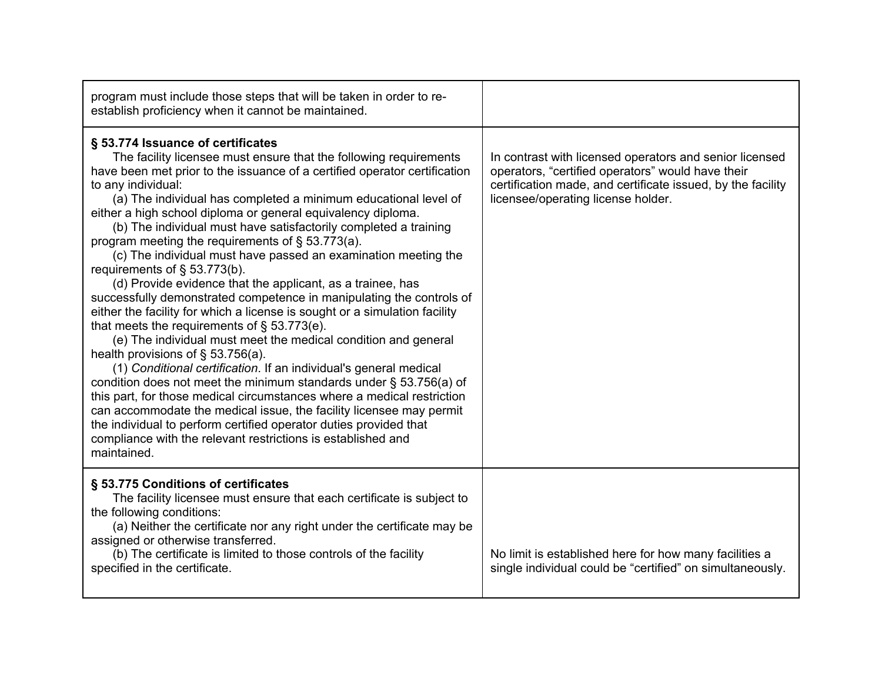| program must include those steps that will be taken in order to re-<br>establish proficiency when it cannot be maintained.                                                                                                                                                                                                                                                                                                                                                                                                                                                                                                                                                                                                                                                                                                                                                                                                                                                                                                                                                                                                                                                                                                                                                                                                                                                                                   |                                                                                                                                                                                                                   |
|--------------------------------------------------------------------------------------------------------------------------------------------------------------------------------------------------------------------------------------------------------------------------------------------------------------------------------------------------------------------------------------------------------------------------------------------------------------------------------------------------------------------------------------------------------------------------------------------------------------------------------------------------------------------------------------------------------------------------------------------------------------------------------------------------------------------------------------------------------------------------------------------------------------------------------------------------------------------------------------------------------------------------------------------------------------------------------------------------------------------------------------------------------------------------------------------------------------------------------------------------------------------------------------------------------------------------------------------------------------------------------------------------------------|-------------------------------------------------------------------------------------------------------------------------------------------------------------------------------------------------------------------|
| § 53.774 Issuance of certificates<br>The facility licensee must ensure that the following requirements<br>have been met prior to the issuance of a certified operator certification<br>to any individual:<br>(a) The individual has completed a minimum educational level of<br>either a high school diploma or general equivalency diploma.<br>(b) The individual must have satisfactorily completed a training<br>program meeting the requirements of $\S$ 53.773(a).<br>(c) The individual must have passed an examination meeting the<br>requirements of § 53.773(b).<br>(d) Provide evidence that the applicant, as a trainee, has<br>successfully demonstrated competence in manipulating the controls of<br>either the facility for which a license is sought or a simulation facility<br>that meets the requirements of $\S$ 53.773(e).<br>(e) The individual must meet the medical condition and general<br>health provisions of $\S$ 53.756(a).<br>(1) Conditional certification. If an individual's general medical<br>condition does not meet the minimum standards under $\S$ 53.756(a) of<br>this part, for those medical circumstances where a medical restriction<br>can accommodate the medical issue, the facility licensee may permit<br>the individual to perform certified operator duties provided that<br>compliance with the relevant restrictions is established and<br>maintained. | In contrast with licensed operators and senior licensed<br>operators, "certified operators" would have their<br>certification made, and certificate issued, by the facility<br>licensee/operating license holder. |
| § 53.775 Conditions of certificates<br>The facility licensee must ensure that each certificate is subject to<br>the following conditions:<br>(a) Neither the certificate nor any right under the certificate may be<br>assigned or otherwise transferred.<br>(b) The certificate is limited to those controls of the facility<br>specified in the certificate.                                                                                                                                                                                                                                                                                                                                                                                                                                                                                                                                                                                                                                                                                                                                                                                                                                                                                                                                                                                                                                               | No limit is established here for how many facilities a<br>single individual could be "certified" on simultaneously.                                                                                               |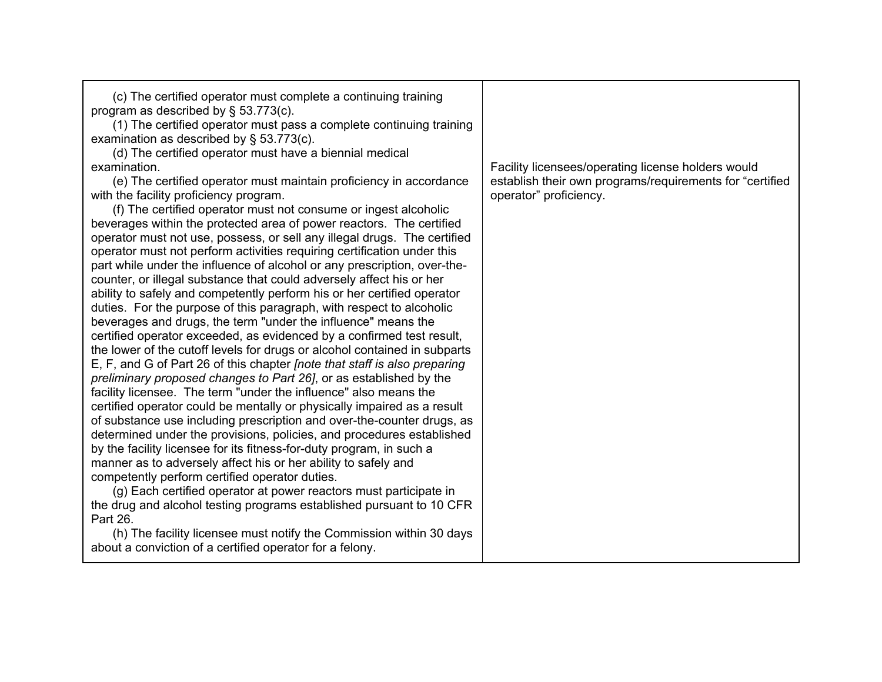| (c) The certified operator must complete a continuing training<br>program as described by $\S$ 53.773(c).<br>(1) The certified operator must pass a complete continuing training<br>examination as described by $\S$ 53.773(c).<br>(d) The certified operator must have a biennial medical<br>examination.<br>(e) The certified operator must maintain proficiency in accordance<br>with the facility proficiency program.<br>(f) The certified operator must not consume or ingest alcoholic<br>beverages within the protected area of power reactors. The certified<br>operator must not use, possess, or sell any illegal drugs. The certified<br>operator must not perform activities requiring certification under this<br>part while under the influence of alcohol or any prescription, over-the-<br>counter, or illegal substance that could adversely affect his or her<br>ability to safely and competently perform his or her certified operator<br>duties. For the purpose of this paragraph, with respect to alcoholic<br>beverages and drugs, the term "under the influence" means the<br>certified operator exceeded, as evidenced by a confirmed test result,<br>the lower of the cutoff levels for drugs or alcohol contained in subparts<br>E, F, and G of Part 26 of this chapter <i>[note that staff is also preparing</i><br>preliminary proposed changes to Part 26, or as established by the<br>facility licensee. The term "under the influence" also means the<br>certified operator could be mentally or physically impaired as a result<br>of substance use including prescription and over-the-counter drugs, as<br>determined under the provisions, policies, and procedures established<br>by the facility licensee for its fitness-for-duty program, in such a<br>manner as to adversely affect his or her ability to safely and<br>competently perform certified operator duties.<br>(g) Each certified operator at power reactors must participate in<br>the drug and alcohol testing programs established pursuant to 10 CFR<br>Part 26. | Facility licensees/operating license holders would<br>establish their own programs/requirements for "certified<br>operator" proficiency. |
|----------------------------------------------------------------------------------------------------------------------------------------------------------------------------------------------------------------------------------------------------------------------------------------------------------------------------------------------------------------------------------------------------------------------------------------------------------------------------------------------------------------------------------------------------------------------------------------------------------------------------------------------------------------------------------------------------------------------------------------------------------------------------------------------------------------------------------------------------------------------------------------------------------------------------------------------------------------------------------------------------------------------------------------------------------------------------------------------------------------------------------------------------------------------------------------------------------------------------------------------------------------------------------------------------------------------------------------------------------------------------------------------------------------------------------------------------------------------------------------------------------------------------------------------------------------------------------------------------------------------------------------------------------------------------------------------------------------------------------------------------------------------------------------------------------------------------------------------------------------------------------------------------------------------------------------------------------------------------------------------------------------------------------------------------------------------------|------------------------------------------------------------------------------------------------------------------------------------------|
| (h) The facility licensee must notify the Commission within 30 days<br>about a conviction of a certified operator for a felony.                                                                                                                                                                                                                                                                                                                                                                                                                                                                                                                                                                                                                                                                                                                                                                                                                                                                                                                                                                                                                                                                                                                                                                                                                                                                                                                                                                                                                                                                                                                                                                                                                                                                                                                                                                                                                                                                                                                                            |                                                                                                                                          |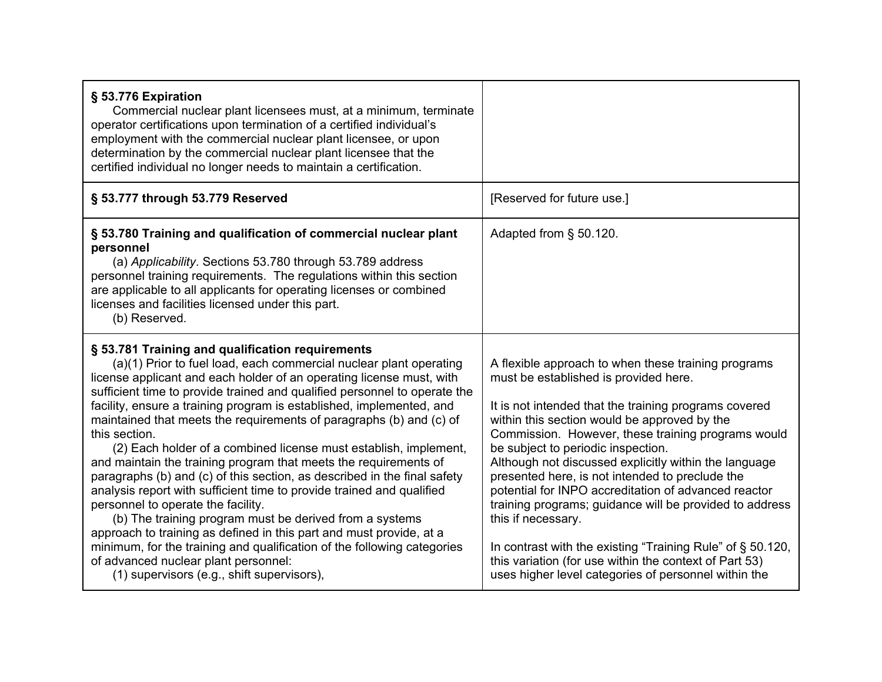| § 53.776 Expiration<br>Commercial nuclear plant licensees must, at a minimum, terminate<br>operator certifications upon termination of a certified individual's<br>employment with the commercial nuclear plant licensee, or upon<br>determination by the commercial nuclear plant licensee that the<br>certified individual no longer needs to maintain a certification.                                                                                                                                                                                                                                                                                                                                                                                                                                                                                                                                                                                                                                                                                                         |                                                                                                                                                                                                                                                                                                                                                                                                                                                                                                                                                                                                                                                                                                                                        |
|-----------------------------------------------------------------------------------------------------------------------------------------------------------------------------------------------------------------------------------------------------------------------------------------------------------------------------------------------------------------------------------------------------------------------------------------------------------------------------------------------------------------------------------------------------------------------------------------------------------------------------------------------------------------------------------------------------------------------------------------------------------------------------------------------------------------------------------------------------------------------------------------------------------------------------------------------------------------------------------------------------------------------------------------------------------------------------------|----------------------------------------------------------------------------------------------------------------------------------------------------------------------------------------------------------------------------------------------------------------------------------------------------------------------------------------------------------------------------------------------------------------------------------------------------------------------------------------------------------------------------------------------------------------------------------------------------------------------------------------------------------------------------------------------------------------------------------------|
| § 53.777 through 53.779 Reserved                                                                                                                                                                                                                                                                                                                                                                                                                                                                                                                                                                                                                                                                                                                                                                                                                                                                                                                                                                                                                                                  | [Reserved for future use.]                                                                                                                                                                                                                                                                                                                                                                                                                                                                                                                                                                                                                                                                                                             |
| § 53.780 Training and qualification of commercial nuclear plant<br>personnel<br>(a) Applicability. Sections 53.780 through 53.789 address<br>personnel training requirements. The regulations within this section<br>are applicable to all applicants for operating licenses or combined<br>licenses and facilities licensed under this part.<br>(b) Reserved.                                                                                                                                                                                                                                                                                                                                                                                                                                                                                                                                                                                                                                                                                                                    | Adapted from § 50.120.                                                                                                                                                                                                                                                                                                                                                                                                                                                                                                                                                                                                                                                                                                                 |
| § 53.781 Training and qualification requirements<br>(a)(1) Prior to fuel load, each commercial nuclear plant operating<br>license applicant and each holder of an operating license must, with<br>sufficient time to provide trained and qualified personnel to operate the<br>facility, ensure a training program is established, implemented, and<br>maintained that meets the requirements of paragraphs (b) and (c) of<br>this section.<br>(2) Each holder of a combined license must establish, implement,<br>and maintain the training program that meets the requirements of<br>paragraphs (b) and (c) of this section, as described in the final safety<br>analysis report with sufficient time to provide trained and qualified<br>personnel to operate the facility.<br>(b) The training program must be derived from a systems<br>approach to training as defined in this part and must provide, at a<br>minimum, for the training and qualification of the following categories<br>of advanced nuclear plant personnel:<br>(1) supervisors (e.g., shift supervisors), | A flexible approach to when these training programs<br>must be established is provided here.<br>It is not intended that the training programs covered<br>within this section would be approved by the<br>Commission. However, these training programs would<br>be subject to periodic inspection.<br>Although not discussed explicitly within the language<br>presented here, is not intended to preclude the<br>potential for INPO accreditation of advanced reactor<br>training programs; guidance will be provided to address<br>this if necessary.<br>In contrast with the existing "Training Rule" of § 50.120,<br>this variation (for use within the context of Part 53)<br>uses higher level categories of personnel within the |